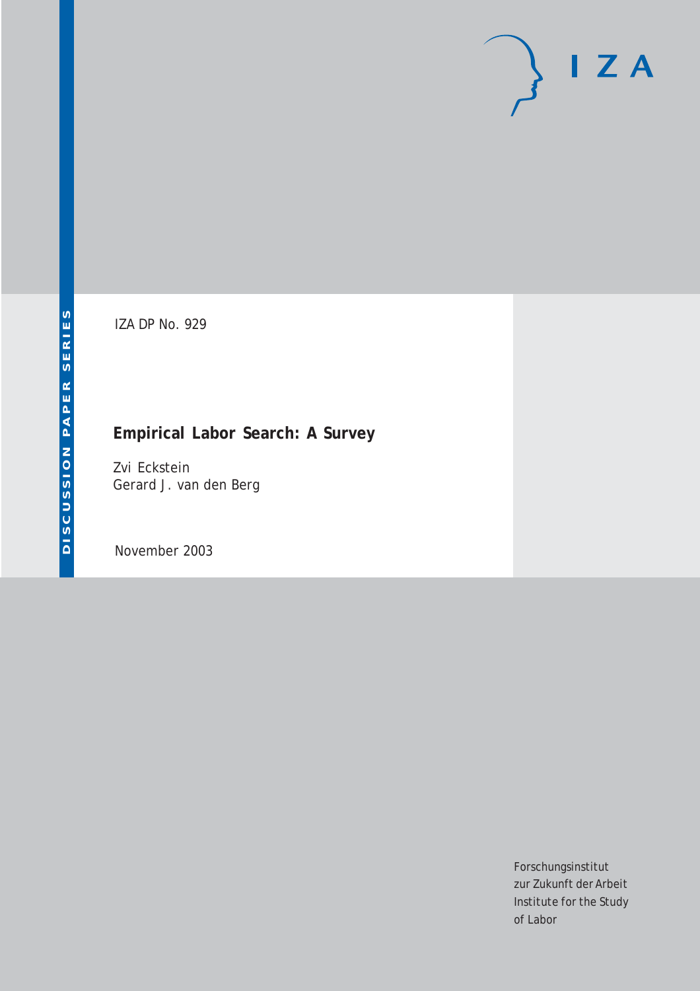# $\mathsf{I}$  Z A

IZA DP No. 929

# **Empirical Labor Search: A Survey**

Zvi Eckstein Gerard J. van den Berg

November 2003

Forschungsinstitut zur Zukunft der Arbeit Institute for the Study of Labor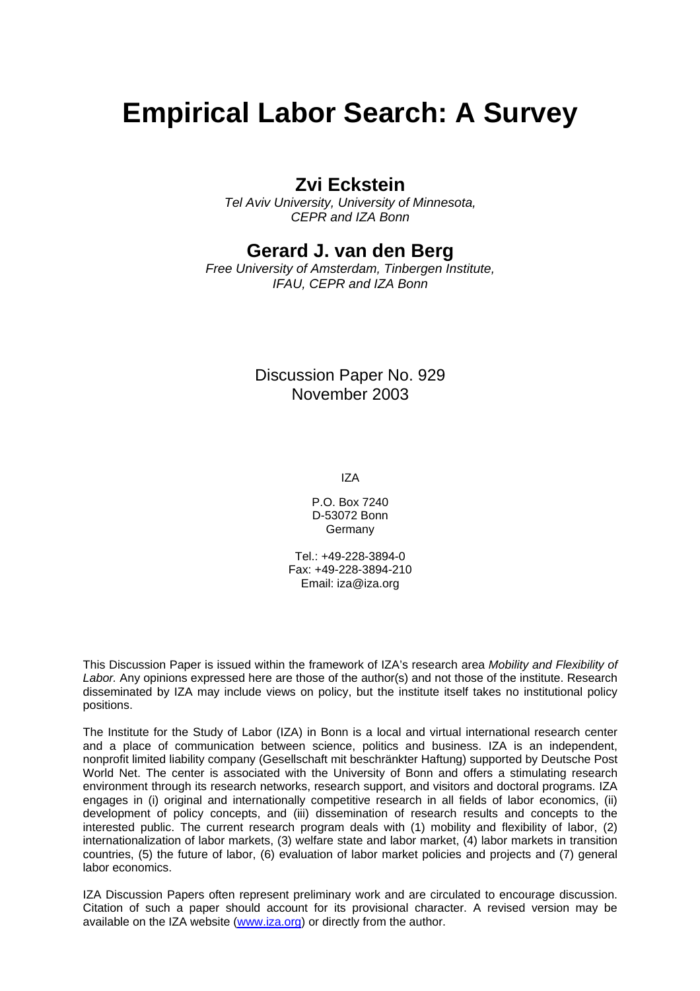# **Empirical Labor Search: A Survey**

## **Zvi Eckstein**

*Tel Aviv University, University of Minnesota, CEPR and IZA Bonn* 

## **Gerard J. van den Berg**

*Free University of Amsterdam, Tinbergen Institute, IFAU, CEPR and IZA Bonn* 

## Discussion Paper No. 929 November 2003

IZA

P.O. Box 7240 D-53072 Bonn Germany

 $Tel + 49-228-3894-0$ Fax: +49-228-3894-210 Email: [iza@iza.org](mailto:iza@iza.org)

This Discussion Paper is issued within the framework of IZA's research area *Mobility and Flexibility of Labor.* Any opinions expressed here are those of the author(s) and not those of the institute. Research disseminated by IZA may include views on policy, but the institute itself takes no institutional policy positions.

The Institute for the Study of Labor (IZA) in Bonn is a local and virtual international research center and a place of communication between science, politics and business. IZA is an independent, nonprofit limited liability company (Gesellschaft mit beschränkter Haftung) supported by Deutsche Post World Net. The center is associated with the University of Bonn and offers a stimulating research environment through its research networks, research support, and visitors and doctoral programs. IZA engages in (i) original and internationally competitive research in all fields of labor economics, (ii) development of policy concepts, and (iii) dissemination of research results and concepts to the interested public. The current research program deals with (1) mobility and flexibility of labor, (2) internationalization of labor markets, (3) welfare state and labor market, (4) labor markets in transition countries, (5) the future of labor, (6) evaluation of labor market policies and projects and (7) general labor economics.

IZA Discussion Papers often represent preliminary work and are circulated to encourage discussion. Citation of such a paper should account for its provisional character. A revised version may be available on the IZA website ([www.iza.org](http://www.iza.org/)) or directly from the author.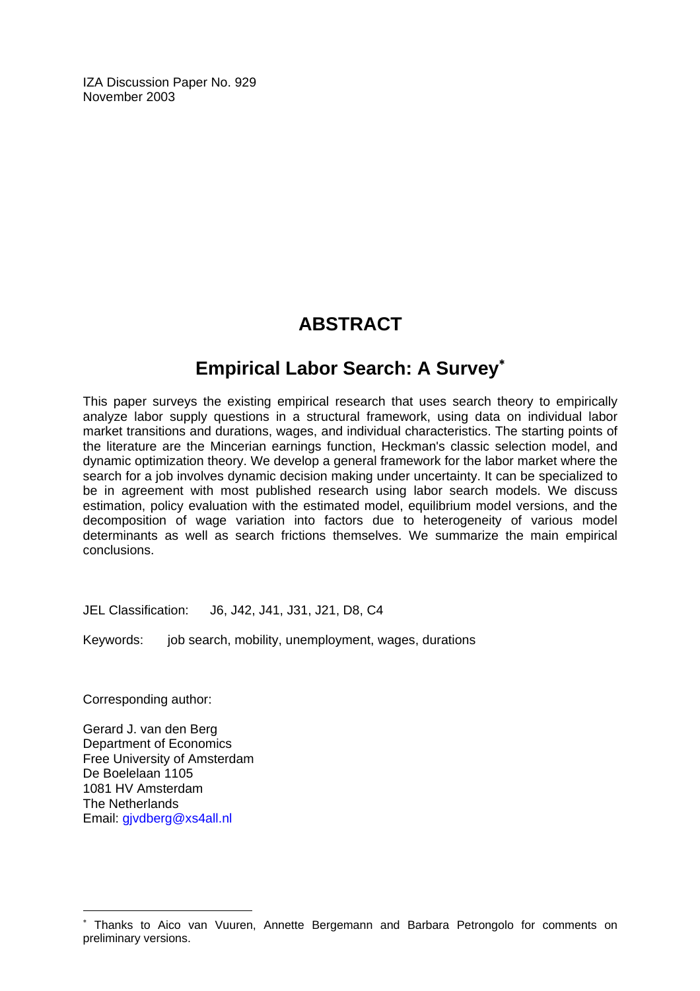IZA Discussion Paper No. 929 November 2003

# **ABSTRACT**

# **Empirical Labor Search: A Survey**[∗](#page-2-0)

This paper surveys the existing empirical research that uses search theory to empirically analyze labor supply questions in a structural framework, using data on individual labor market transitions and durations, wages, and individual characteristics. The starting points of the literature are the Mincerian earnings function, Heckman's classic selection model, and dynamic optimization theory. We develop a general framework for the labor market where the search for a job involves dynamic decision making under uncertainty. It can be specialized to be in agreement with most published research using labor search models. We discuss estimation, policy evaluation with the estimated model, equilibrium model versions, and the decomposition of wage variation into factors due to heterogeneity of various model determinants as well as search frictions themselves. We summarize the main empirical conclusions.

JEL Classification: J6, J42, J41, J31, J21, D8, C4

Keywords: job search, mobility, unemployment, wages, durations

Corresponding author:

 $\overline{a}$ 

Gerard J. van den Berg Department of Economics Free University of Amsterdam De Boelelaan 1105 1081 HV Amsterdam The Netherlands Email: [gjvdberg@xs4all.nl](mailto:gjvdberg@xs4all.nl)

<span id="page-2-0"></span><sup>∗</sup> Thanks to Aico van Vuuren, Annette Bergemann and Barbara Petrongolo for comments on preliminary versions.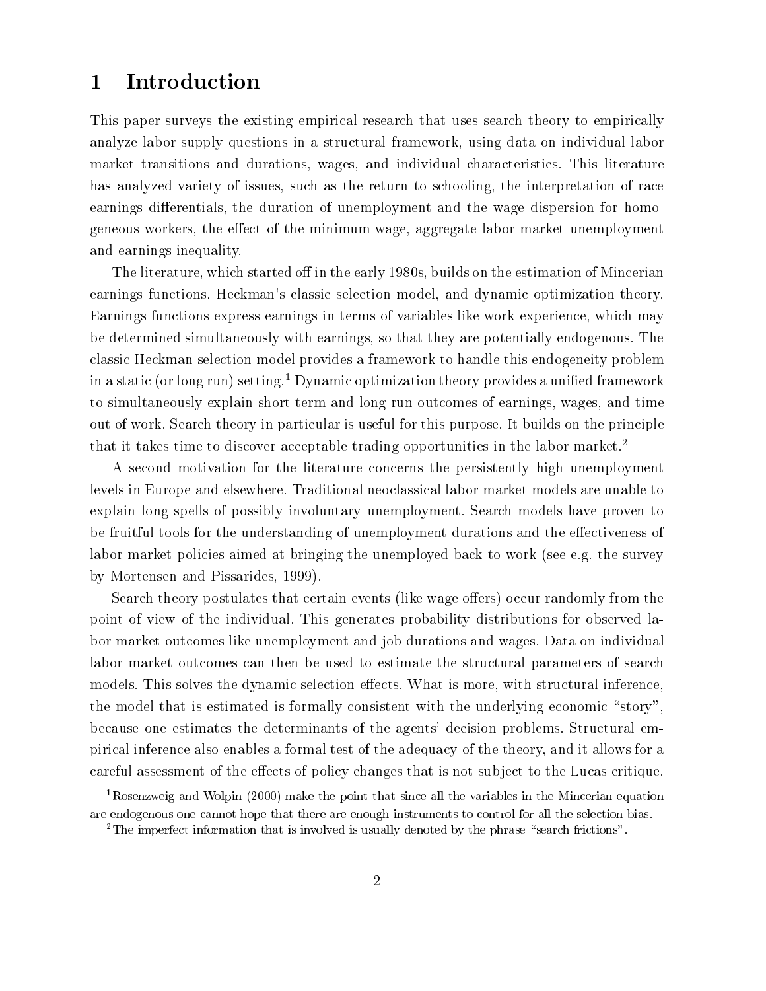# 1 Introduction

This paper surveys the existing empirical research that uses search theory to empirically analyze labor supply questions in a structural framework, using data on individual labor market transitions and durations, wages, and individual characteristics. This literature has analyzed variety of issues, such as the return to schooling, the interpretation of race earnings differentials, the duration of unemployment and the wage dispersion for homogeneous workers, the effect of the minimum wage, aggregate labor market unemployment and earnings inequality.

The literature, which started off in the early 1980s, builds on the estimation of Mincerian earnings functions, Heckman's classic selection model, and dynamic optimization theory. Earnings functions express earnings in terms of variables like work experience, which may be determined simultaneously with earnings, so that they are potentially endogenous. The classic Heckman selection model provides a framework to handle this endogeneity problem in a static (or long run) setting.<sup>1</sup> Dynamic optimization theory provides a unified framework to simultaneously explain short term and long run outcomes of earnings, wages, and time out of work. Search theory in particular is useful for this purpose. It builds on the principle that it takes time to discover acceptable trading opportunities in the labor market.<sup>2</sup>

A second motivation for the literature concerns the persistently high unemployment levels in Europe and elsewhere. Traditional neoclassical labor market models are unable to explain long spells of possibly involuntary unemployment. Search models have proven to be fruitful tools for the understanding of unemployment durations and the effectiveness of labor market policies aimed at bringing the unemployed back to work (see e.g. the survey by Mortensen and Pissarides, 1999).

Search theory postulates that certain events (like wage offers) occur randomly from the point of view of the individual. This generates probability distributions for observed labor market outcomes like unemployment and job durations and wages. Data on individual labor market outcomes can then be used to estimate the structural parameters of search models. This solves the dynamic selection effects. What is more, with structural inference, the model that is estimated is formally consistent with the underlying economic "story", because one estimates the determinants of the agents' decision problems. Structural empirical inference also enables a formal test of the adequacy of the theory, and it allows for a careful assessment of the effects of policy changes that is not subject to the Lucas critique.

<sup>&</sup>lt;sup>1</sup>Rosenzweig and Wolpin (2000) make the point that since all the variables in the Mincerian equation are endogenous one cannot hope that there are enough instruments to control for all the selection bias.

 $2$ The imperfect information that is involved is usually denoted by the phrase "search frictions".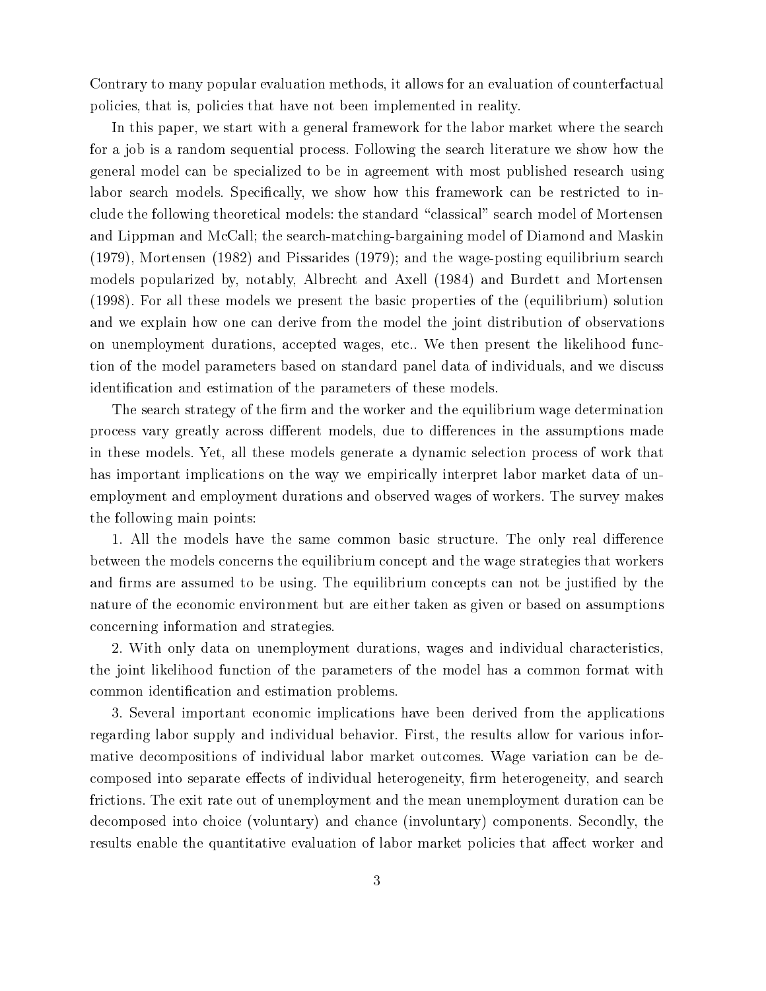Contrary to many popular evaluation methods, it allows for an evaluation of counterfactual policies, that is, policies that have not been implemented in reality.

In this paper, we start with a general framework for the labor market where the search for a job is a random sequential process. Following the search literature we show how the general model can be specialized to be in agreement with most published research using labor search models. Specifically, we show how this framework can be restricted to include the following theoretical models: the standard \classical" search model of Mortensen and Lippman and McCall; the search-matching-bargaining model of Diamond and Maskin (1979), Mortensen (1982) and Pissarides (1979); and the wage-posting equilibrium search models popularized by, notably, Albrecht and Axell (1984) and Burdett and Mortensen (1998). For all these models we present the basic properties of the (equilibrium) solution and we explain how one can derive from the model the joint distribution of observations on unemployment durations, accepted wages, etc.. We then present the likelihood function of the model parameters based on standard panel data of individuals, and we discuss identification and estimation of the parameters of these models.

The search strategy of the firm and the worker and the equilibrium wage determination process vary greatly across different models, due to differences in the assumptions made in these models. Yet, all these models generate a dynamic selection process of work that has important implications on the way we empirically interpret labor market data of unemployment and employment durations and observed wages of workers. The survey makes the following main points:

1. All the models have the same common basic structure. The only real difference between the models concerns the equilibrium concept and the wage strategies that workers and firms are assumed to be using. The equilibrium concepts can not be justified by the nature of the economic environment but are either taken as given or based on assumptions concerning information and strategies.

2. With only data on unemployment durations, wages and individual characteristics, the joint likelihood function of the parameters of the model has a common format with common identication and estimation problems.

3. Several important economic implications have been derived from the applications regarding labor supply and individual behavior. First, the results allow for various informative decompositions of individual labor market outcomes. Wage variation can be decomposed into separate effects of individual heterogeneity, firm heterogeneity, and search frictions. The exit rate out of unemployment and the mean unemployment duration can be decomposed into choice (voluntary) and chance (involuntary) components. Secondly, the results enable the quantitative evaluation of labor market policies that affect worker and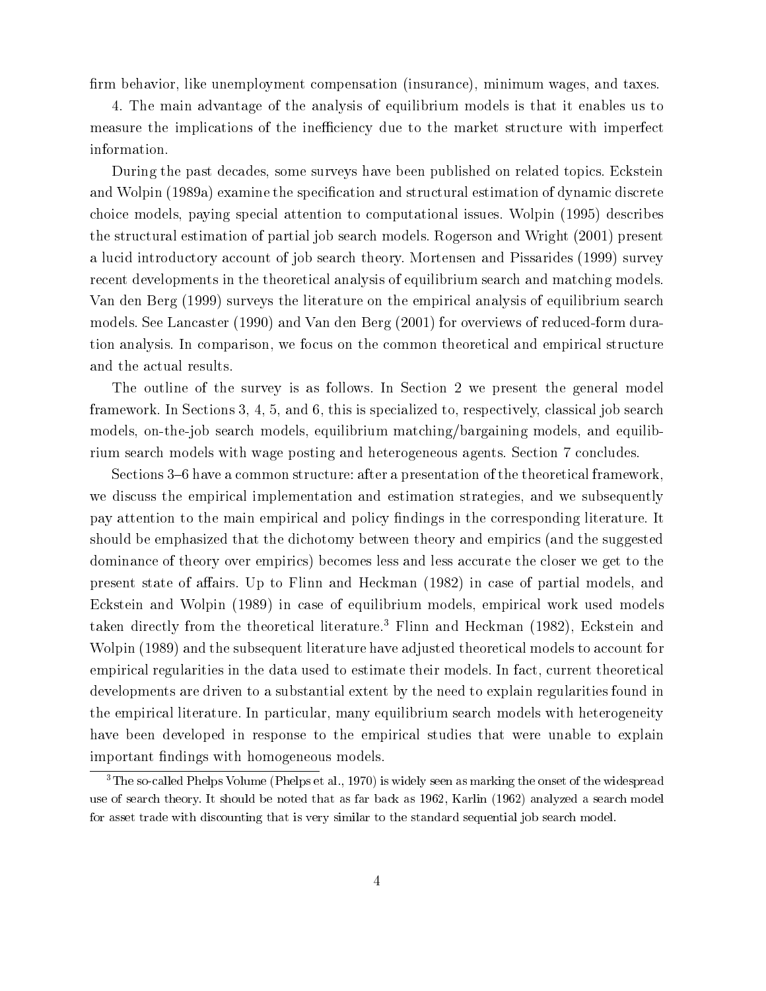firm behavior, like unemployment compensation (insurance), minimum wages, and taxes.

4. The main advantage of the analysis of equilibrium models is that it enables us to measure the implications of the inefficiency due to the market structure with imperfect information.

During the past decades, some surveys have been published on related topics. Eckstein and Wolpin (1989a) examine the specication and structural estimation of dynamic discrete choice models, paying special attention to computational issues. Wolpin (1995) describes the structural estimation of partial job search models. Rogerson and Wright (2001) present a lucid introductory account of job search theory. Mortensen and Pissarides (1999) survey recent developments in the theoretical analysis of equilibrium search and matching models. Van den Berg (1999) surveys the literature on the empirical analysis of equilibrium search models. See Lancaster (1990) and Van den Berg (2001) for overviews of reduced-form duration analysis. In comparison, we focus on the common theoretical and empirical structure and the actual results.

The outline of the survey is as follows. In Section 2 we present the general model framework. In Sections 3, 4, 5, and 6, this is specialized to, respectively, classical job search models, on-the-job search models, equilibrium matching/bargaining models, and equilibrium search models with wage posting and heterogeneous agents. Section 7 concludes.

Sections 3–6 have a common structure: after a presentation of the theoretical framework, we discuss the empirical implementation and estimation strategies, and we subsequently pay attention to the main empirical and policy findings in the corresponding literature. It should be emphasized that the dichotomy between theory and empirics (and the suggested dominance of theory over empirics) becomes less and less accurate the closer we get to the present state of aairs. Up to Flinn and Heckman (1982) in case of partial models, and Eckstein and Wolpin (1989) in case of equilibrium models, empirical work used models taken directly from the theoretical literature.<sup>3</sup> Flinn and Heckman (1982), Eckstein and Wolpin (1989) and the subsequent literature have adjusted theoretical models to account for empirical regularities in the data used to estimate their models. In fact, current theoretical developments are driven to a substantial extent by the need to explain regularities found in the empirical literature. In particular, many equilibrium search models with heterogeneity have been developed in response to the empirical studies that were unable to explain important findings with homogeneous models.

<sup>3</sup>The so-called Phelps Volume (Phelps et al., 1970) is widely seen as marking the onset of the widespread use of search theory. It should be noted that as far back as 1962, Karlin (1962) analyzed a search model for asset trade with discounting that is very similar to the standard sequential job search model.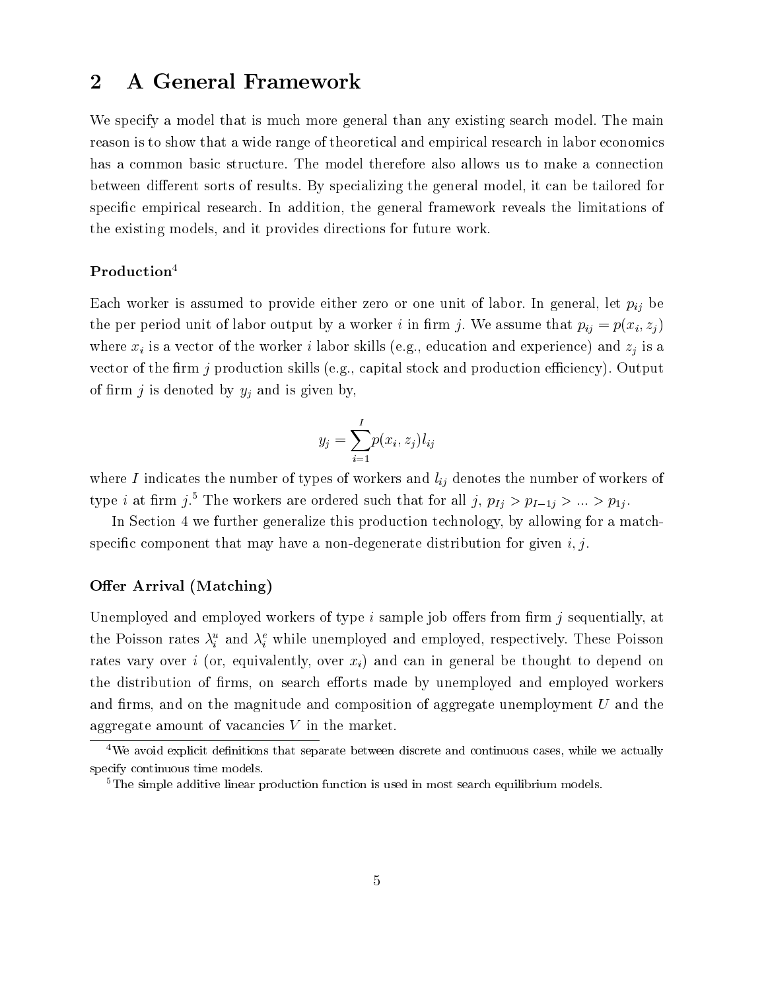# 2 A General Framework

We specify a model that is much more general than any existing search model. The main reason is to show that a wide range of theoretical and empirical research in labor economics has a common basic structure. The model therefore also allows us to make a connection between different sorts of results. By specializing the general model, it can be tailored for specific empirical research. In addition, the general framework reveals the limitations of the existing models, and it provides directions for future work.

## Production<sup>4</sup>

Each worker is assumed to provide either zero or one unit of labor. In general, let  $p_{ij}$  be the per period unit of labor output by a worker i in firm j. We assume that  $p_{ij} = p(x_i, z_j)$ where  $x_i$  is a vector of the worker i labor skills (e.g., education and experience) and  $z_j$  is a vector of the firm j production skills (e.g., capital stock and production efficiency). Output of firm j is denoted by  $y_j$  and is given by,

$$
y_j = \sum_{i=1}^I p(x_i, z_j) l_{ij}
$$

where I indicates the number of types of workers and l $\eta$  at the number of workers of  $\sigma$  workers of workers of type *i* at firm j.<sup>5</sup> The workers are ordered such that for all j,  $p_{Ij} > p_{I-1j} > ... > p_{1j}$ .

In Section 4 we further generalize this production technology, by allowing for a matchspecific component that may have a non-degenerate distribution for given  $i, j$ .

## Offer Arrival (Matching)

Unemployed and employed workers of type  $i$  sample job offers from firm  $j$  sequentially, at the Poisson rates  $\lambda_i$  and  $\lambda_i$  while unemployed and employed, respectively. These Poisson rates vary over i (or, equivalently, over  $x_i$ ) and can in general be thought to depend on the distribution of firms, on search efforts made by unemployed and employed workers and firms, and on the magnitude and composition of aggregate unemployment  $U$  and the aggregate amount of vacancies V in the market.

 $4$ We avoid explicit definitions that separate between discrete and continuous cases, while we actually specify continuous time models.

<sup>&</sup>lt;sup>5</sup>The simple additive linear production function is used in most search equilibrium models.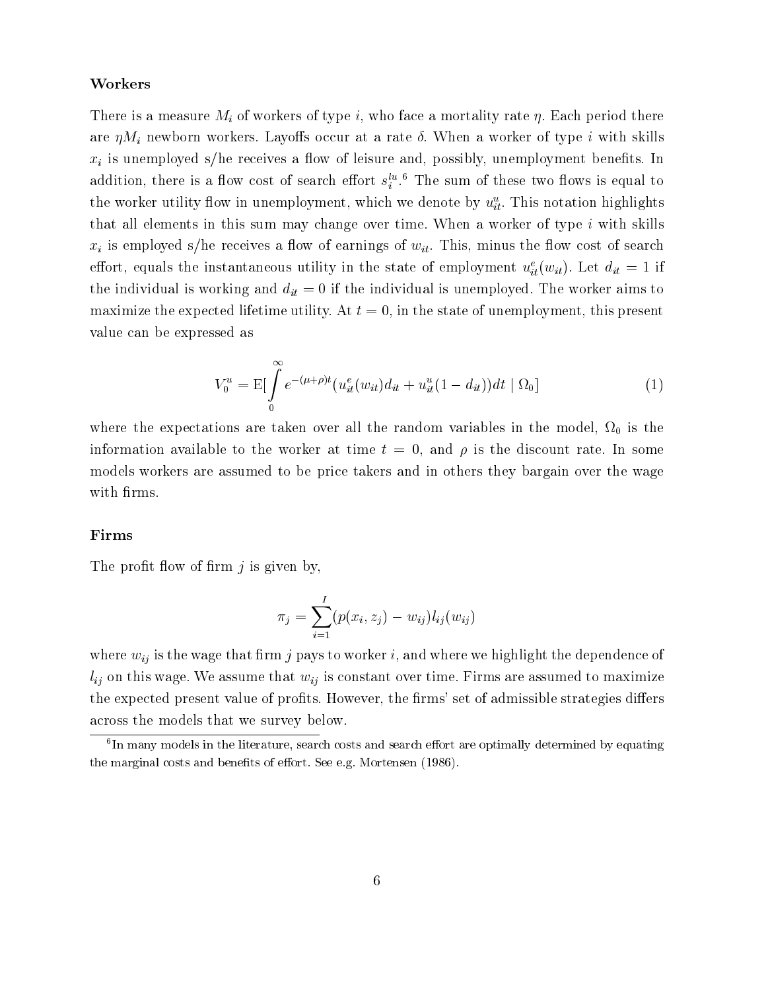## Workers

There is a measure  $M_i$  of workers of type i, who face a mortality rate  $\eta$ . Each period there are  $\eta M_i$  newborn workers. Layoffs occur at a rate  $\delta$ . When a worker of type i with skills  $x_i$  is unemployed s/he receives a flow of leisure and, possibly, unemployment benefits. In addition, there is a now cost of search enort  $s_i$  . The sum of these two nows is equal to the worker utility now in unemployment, which we denote by  $u_{it}$  . This notation highlights that all elements in this sum may change over time. When a worker of type  $i$  with skills  $x_i$  is employed s/he receives a flow of earnings of  $w_{it}$ . This, minus the flow cost of search enort, equals the instantaneous utility in the state of employment  $u_{it}(w_{it})$ . Let  $u_{it} = 1$  if the individual is working and  $d_{it} = 0$  if the individual is unemployed. The worker aims to maximize the expected lifetime utility. At  $t = 0$ , in the state of unemployment, this present value can be expressed as

$$
V_0^u = \mathcal{E} \left[ \int_0^\infty e^{-(\mu + \rho)t} \left( u_{it}^e(w_{it}) d_{it} + u_{it}^u(1 - d_{it}) \right) dt \mid \Omega_0 \right] \tag{1}
$$

where the expectations are taken over all the random variables in the model,  $\mathbf{0}$ information available to the worker at time  $t = 0$ , and  $\rho$  is the discount rate. In some models workers are assumed to be price takers and in others they bargain over the wage with firms.

#### Firms

The profit flow of firm  $j$  is given by,

$$
\pi_j = \sum_{i=1}^I (p(x_i, z_j) - w_{ij}) l_{ij}(w_{ij})
$$

where  $w_{ij}$  is the wage that firm j pays to worker i, and where we highlight the dependence of ij on this wage. We assume that will be constant over time. Firms are assumed to maximize the maximized to maximize the expected present value of profits. However, the firms' set of admissible strategies differs across the models that we survey below.

<sup>6</sup> In many models in the literature, search costs and search eort are optimally determined by equating the marginal costs and benefits of effort. See e.g. Mortensen (1986).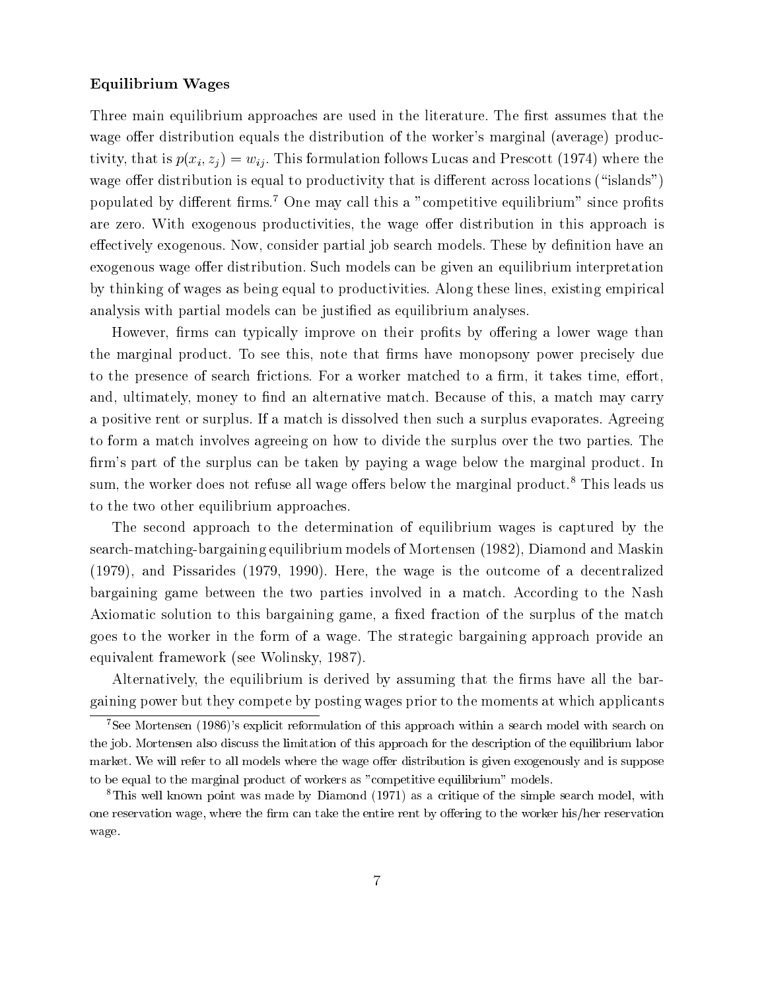## Equilibrium Wages

Three main equilibrium approaches are used in the literature. The first assumes that the wage offer distribution equals the distribution of the worker's marginal (average) productivity, that is  $p(x_i, z_j) = w_{ij}$ . This formulation follows Lucas and Prescott (1974) where the wage offer distribution is equal to productivity that is different across locations ( $\text{``islands''}$ ) populated by different firms.<sup>7</sup> One may call this a "competitive equilibrium" since profits are zero. With exogenous productivities, the wage offer distribution in this approach is effectively exogenous. Now, consider partial job search models. These by definition have an exogenous wage offer distribution. Such models can be given an equilibrium interpretation by thinking of wages as being equal to productivities. Along these lines, existing empirical analysis with partial models can be justied as equilibrium analyses.

However, firms can typically improve on their profits by offering a lower wage than the marginal product. To see this, note that firms have monopsony power precisely due to the presence of search frictions. For a worker matched to a firm, it takes time, effort, and, ultimately, money to find an alternative match. Because of this, a match may carry a positive rent or surplus. If a match is dissolved then such a surplus evaporates. Agreeing to form a match involves agreeing on how to divide the surplus over the two parties. The firm's part of the surplus can be taken by paying a wage below the marginal product. In sum, the worker does not refuse all wage offers below the marginal product.<sup>8</sup> This leads us to the two other equilibrium approaches.

The second approach to the determination of equilibrium wages is captured by the search-matching-bargaining equilibrium models of Mortensen (1982), Diamond and Maskin (1979), and Pissarides (1979, 1990). Here, the wage is the outcome of a decentralized bargaining game between the two parties involved in a match. According to the Nash Axiomatic solution to this bargaining game, a fixed fraction of the surplus of the match goes to the worker in the form of a wage. The strategic bargaining approach provide an equivalent framework (see Wolinsky, 1987).

Alternatively, the equilibrium is derived by assuming that the firms have all the bargaining power but they compete by posting wages prior to the moments at which applicants

<sup>7</sup>See Mortensen (1986)'s explicit reformulation of this approach within a search model with search on the job. Mortensen also discuss the limitation of this approach for the description of the equilibrium labor market. We will refer to all models where the wage offer distribution is given exogenously and is suppose to be equal to the marginal product of workers as "competitive equilibrium" models.

<sup>8</sup>This well known point was made by Diamond (1971) as a critique of the simple search model, with one reservation wage, where the firm can take the entire rent by offering to the worker his/her reservation wage.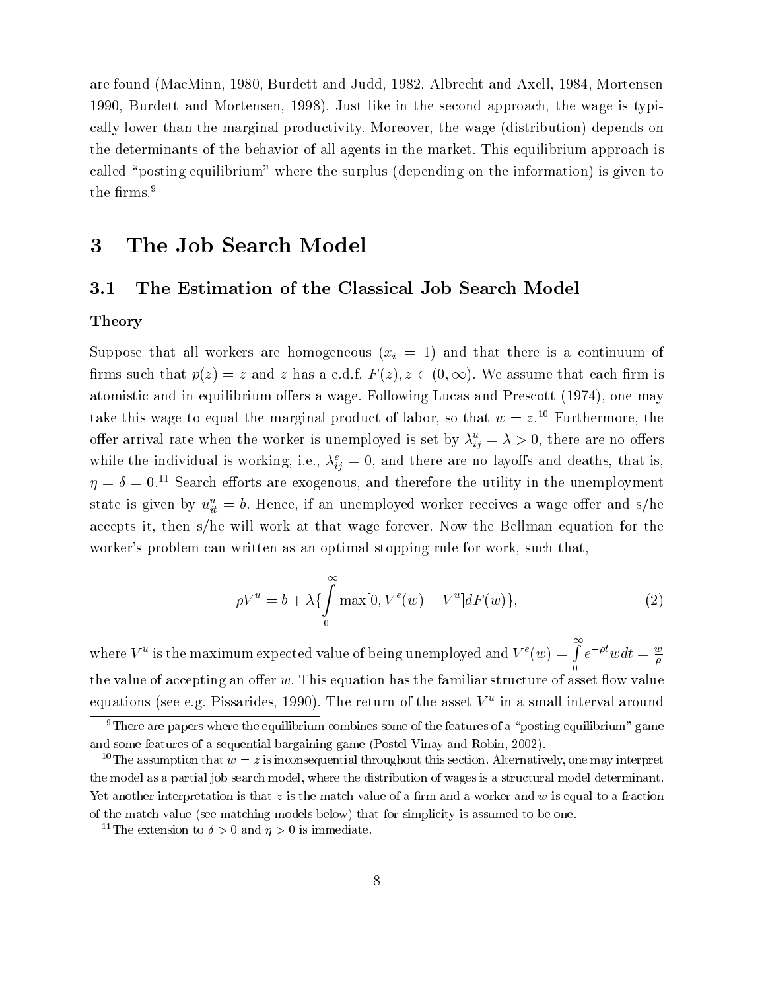are found (MacMinn, 1980, Burdett and Judd, 1982, Albrecht and Axell, 1984, Mortensen 1990, Burdett and Mortensen, 1998). Just like in the second approach, the wage is typically lower than the marginal productivity. Moreover, the wage (distribution) depends on the determinants of the behavior of all agents in the market. This equilibrium approach is called "posting equilibrium" where the surplus (depending on the information) is given to the firms. $9$ 

#### 3 The Job Search Model 3

#### 3.1The Estimation of the Classical Job Search Model

## Theory

Suppose that all workers are homogeneous  $(x<sub>i</sub> = 1)$  and that there is a continuum of rms such that p(z) = z and z has a c.d.f. F (z); z 2 (0; 1). We assume that each rm is atomistic and in equilibrium offers a wage. Following Lucas and Prescott (1974), one may take this wage to equal the marginal product of labor, so that  $w = z^{10}$  Furthermore, the oner arrival rate when the worker is unemployed is set by  $\lambda_{ij}^{\pm} = \lambda > 0$ , there are no oners while the individual is working, i.e.,  $\lambda_{ij}^* = 0$ , and there are no layons and deaths, that is,  $\eta = \delta = 0.11$  Search efforts are exogenous, and therefore the utility in the unemployment state is given by  $u_{it} = v$ . Hence, if an unemployed worker receives a wage oner and s/he accepts it, then s/he will work at that wage forever. Now the Bellman equation for the worker's problem can written as an optimal stopping rule for work, such that,

$$
\rho V^u = b + \lambda \left\{ \int_0^\infty \max[0, V^e(w) - V^u] dF(w) \right\},\tag{2}
$$

where  $V^u$  is the maximum expected value of being unemployed and  $V^e(w) = \int e^{-\rho t} w dt = \frac{w}{\rho}$ the value of accepting an oer w. This equation has the familiar structure of asset 
ow value equations (see e.g. Pissarides, 1990). The return of the asset  $V$  " in a small interval around

<sup>&</sup>lt;sup>9</sup>There are papers where the equilibrium combines some of the features of a "posting equilibrium" game and some features of a sequential bargaining game (Postel-Vinay and Robin, 2002).

<sup>&</sup>lt;sup>10</sup>The assumption that  $w = z$  is inconsequential throughout this section. Alternatively, one may interpret the model as a partial job search model, where the distribution of wages is a structural model determinant. Yet another interpretation is that  $z$  is the match value of a firm and a worker and  $w$  is equal to a fraction of the match value (see matching models below) that for simplicity is assumed to be one.

<sup>&</sup>lt;sup>11</sup>The extension to  $\delta > 0$  and  $\eta > 0$  is immediate.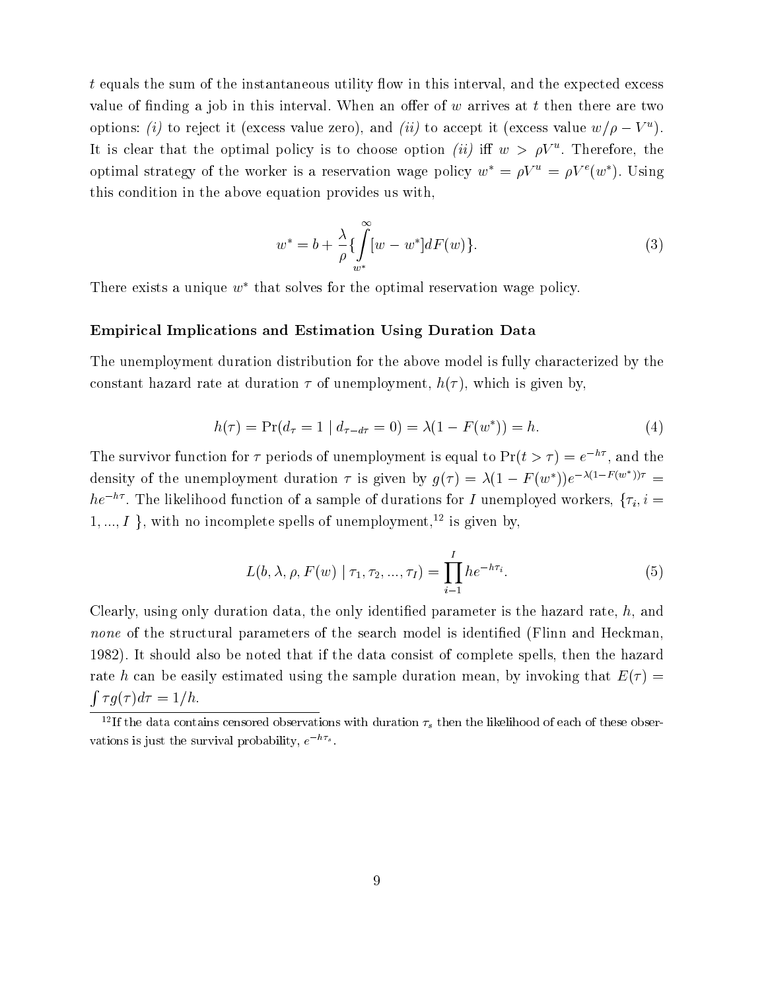t equals the sum of the instantaneous utility flow in this interval, and the expected excess value of finding a job in this interval. When an offer of  $w$  arrives at  $t$  then there are two options: (i) to reject it (excess value zero), and (ii) to accept it (excess value  $w/\rho = v^{\perp}$ ). It is clear that the optimal policy is to choose option  $\{ii\}$  in  $w > \rho v$  . Therefore, the optimal strategy of the worker is a reservation wage policy  $w^* = \rho V^u = \rho V^e(w^*)$ . Using this condition in the above equation provides us with,

$$
w^* = b + \frac{\lambda}{\rho} \{ \int_{w^*}^{\infty} [w - w^*] dF(w) \}.
$$
 (3)

There exists a unique  $w^*$  that solves for the optimal reservation wage policy.

## Empirical Implications and Estimation Using Duration Data

The unemployment duration distribution for the above model is fully characterized by the constant hazard rate at duration  $\tau$  of unemployment,  $h(\tau)$ , which is given by,

$$
h(\tau) = \Pr(d_{\tau} = 1 \mid d_{\tau - d\tau} = 0) = \lambda(1 - F(w^*)) = h.
$$
 (4)

The survivor function for  $\tau$  periods of unemployment is equal to  $Pr(t>\tau) = e^{-h\tau}$ , and the density of the unemployment duration  $\tau$  is given by  $g(\tau) = \lambda (1 - F(w^*))e^{-\lambda (1-F(w))/\tau}$  $ne^{-\alpha}$  . The fikelihood function of a sample of durations for T unemployed workers,  $\{\tau_i, i = 1\}$  $1, ..., I$ }, with no incomplete spells of unemployment,<sup>12</sup> is given by,

$$
L(b, \lambda, \rho, F(w) \mid \tau_1, \tau_2, ..., \tau_I) = \prod_{i=1}^{I} h e^{-h\tau_i}.
$$
 (5)

Clearly, using only duration data, the only identified parameter is the hazard rate,  $h$ , and none of the structural parameters of the search model is identified (Flinn and Heckman, 1982). It should also be noted that if the data consist of complete spells, then the hazard rate h can be easily estimated using the sample duration mean, by invoking that  $E(\tau)$  = **Representative Contract Contract Contract Contract Contract Contract Contract Contract Contract Contract Contract Contract Contract Contract Contract Contract Contract Contract Contract Contract Contract Contract Contract**  $\alpha$  and  $\alpha$  is the number of  $\alpha$  is the  $\alpha$ 

<sup>&</sup>lt;sup>12</sup>If the data contains censored observations with duration  $\tau_s$  then the likelihood of each of these observations is just the survival probability,  $e^{-h\tau_s}$ . :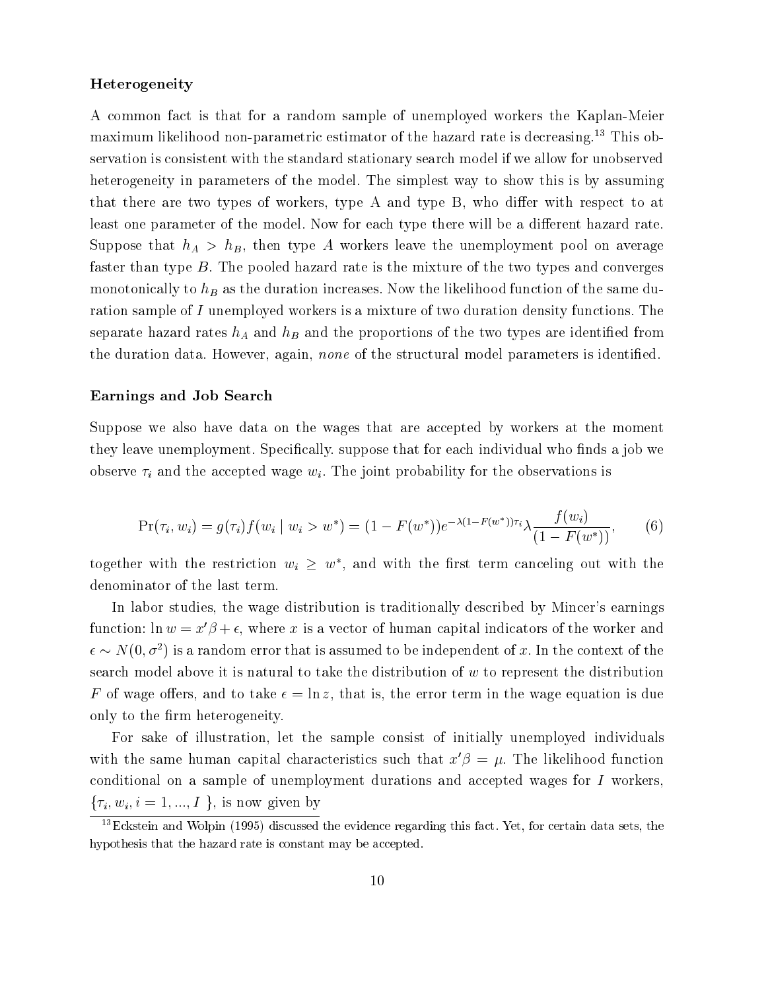## Heterogeneity

A common fact is that for a random sample of unemployed workers the Kaplan-Meier maximum likelihood non-parametric estimator of the hazard rate is decreasing.<sup>13</sup> This observation is consistent with the standard stationary search model if we allow for unobserved heterogeneity in parameters of the model. The simplest way to show this is by assuming that there are two types of workers, type A and type B, who differ with respect to at least one parameter of the model. Now for each type there will be a different hazard rate. Suppose that  $h_A > h_B$ , then type A workers leave the unemployment pool on average faster than type  $B$ . The pooled hazard rate is the mixture of the two types and converges monotonically to  $h_B$  as the duration increases. Now the likelihood function of the same duration sample of I unemployed workers is a mixture of two duration density functions. The separate hazard rates  $h_A$  and  $h_B$  and the proportions of the two types are identified from the duration data. However, again, none of the structural model parameters is identied.

#### Earnings and Job Search

Suppose we also have data on the wages that are accepted by workers at the moment they leave unemployment. Specifically, suppose that for each individual who finds a job we observe  $\tau_i$  and the accepted wage  $w_i$ . The joint probability for the observations is

$$
\Pr(\tau_i, w_i) = g(\tau_i) f(w_i \mid w_i > w^*) = (1 - F(w^*))e^{-\lambda(1 - F(w^*))\tau_i} \lambda \frac{f(w_i)}{(1 - F(w^*))},\tag{6}
$$

together with the restriction  $w_i~\geq~w$  , and with the first term canceling out with the denominator of the last term.

In labor studies, the wage distribution is traditionally described by Mincer's earnings function:  $\ln w = x'\beta + \epsilon$ , where x is a vector of human capital indicators of the worker and  $\epsilon \sim N(0, \sigma^*)$  is a random error that is assumed to be independent of  $x.$  In the context of the search model above it is natural to take the distribution of  $w$  to represent the distribution F of wage offers, and to take  $\epsilon = \ln z$ , that is, the error term in the wage equation is due only to the firm heterogeneity.

For sake of illustration, let the sample consist of initially unemployed individuals with the same human capital characteristics such that  $x'\beta = \mu$ . The likelihood function conditional on a sample of unemployment durations and accepted wages for I workers,  $\{\tau_i, w_i, i = 1, ..., I\}$ , is now given by

<sup>&</sup>lt;sup>13</sup>Eckstein and Wolpin (1995) discussed the evidence regarding this fact. Yet, for certain data sets, the hypothesis that the hazard rate is constant may be accepted.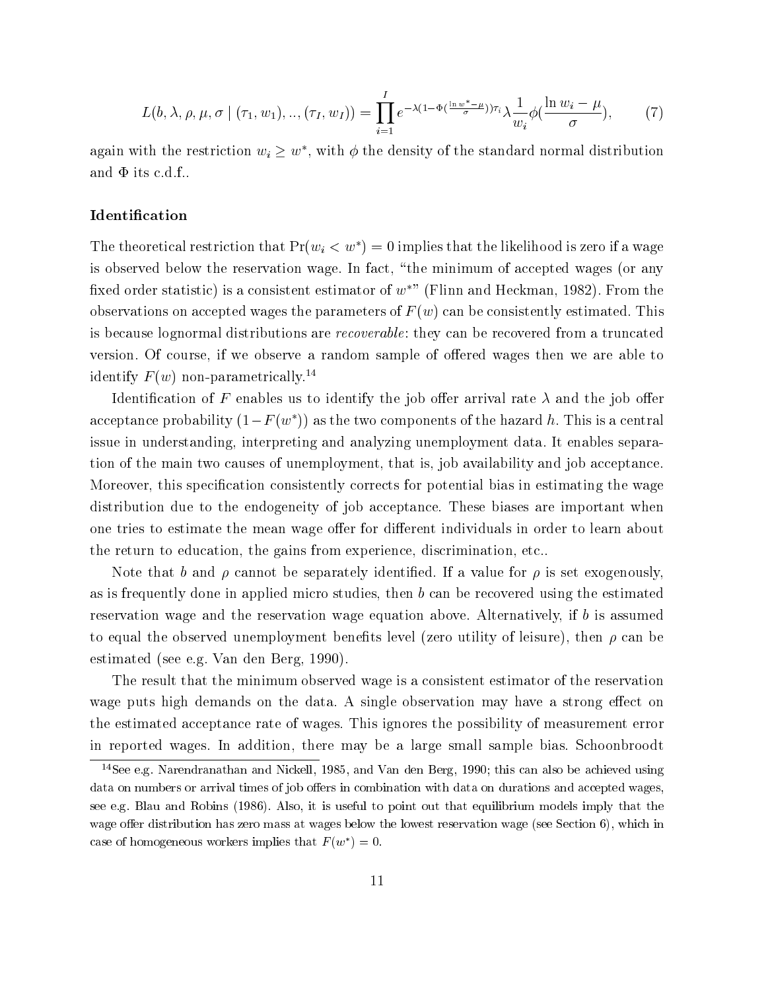$$
L(b, \lambda, \rho, \mu, \sigma \mid (\tau_1, w_1), \dots, (\tau_I, w_I)) = \prod_{i=1}^I e^{-\lambda(1 - \Phi(\frac{\ln w^* - \mu}{\sigma}))\tau_i} \lambda \frac{1}{w_i} \phi(\frac{\ln w_i - \mu}{\sigma}), \tag{7}
$$

again with the restriction  $w_i \geq w$  , with  $\varphi$  the density of the standard normal distribution and  $\Phi$  its c.d.f..

## **Identification**

The theoretical restriction that  $Pr(w_i < w^*) = 0$  implies that the likelihood is zero if a wage is observed below the reservation wage. In fact, "the minimum of accepted wages (or any fixed order statistic) is a consistent estimator of  $w^*$ " (Flinn and Heckman, 1982). From the observations on accepted wages the parameters of  $F(w)$  can be consistently estimated. This is because lognormal distributions are recoverable: they can be recovered from a truncated version. Of course, if we observe a random sample of offered wages then we are able to identify  $F(w)$  non-parametrically.<sup>14</sup>

Identification of F enables us to identify the job offer arrival rate  $\lambda$  and the job offer acceptance probability  $(1-F(w^*))$  as the two components of the hazard h. This is a central issue in understanding, interpreting and analyzing unemployment data. It enables separation of the main two causes of unemployment, that is, job availability and job acceptance. Moreover, this specification consistently corrects for potential bias in estimating the wage distribution due to the endogeneity of job acceptance. These biases are important when one tries to estimate the mean wage offer for different individuals in order to learn about the return to education, the gains from experience, discrimination, etc..

Note that b and  $\rho$  cannot be separately identified. If a value for  $\rho$  is set exogenously, as is frequently done in applied micro studies, then  $b$  can be recovered using the estimated reservation wage and the reservation wage equation above. Alternatively, if  $b$  is assumed to equal the observed unemployment benefits level (zero utility of leisure), then  $\rho$  can be estimated (see e.g. Van den Berg, 1990).

The result that the minimum observed wage is a consistent estimator of the reservation wage puts high demands on the data. A single observation may have a strong effect on the estimated acceptance rate of wages. This ignores the possibility of measurement error in reported wages. In addition, there may be a large small sample bias. Schoonbroodt

<sup>14</sup>See e.g. Narendranathan and Nickell, 1985, and Van den Berg, 1990; this can also be achieved using data on numbers or arrival times of job offers in combination with data on durations and accepted wages, see e.g. Blau and Robins (1986). Also, it is useful to point out that equilibrium models imply that the wage offer distribution has zero mass at wages below the lowest reservation wage (see Section 6), which in case of homogeneous workers implies that  $F(w) = 0$ .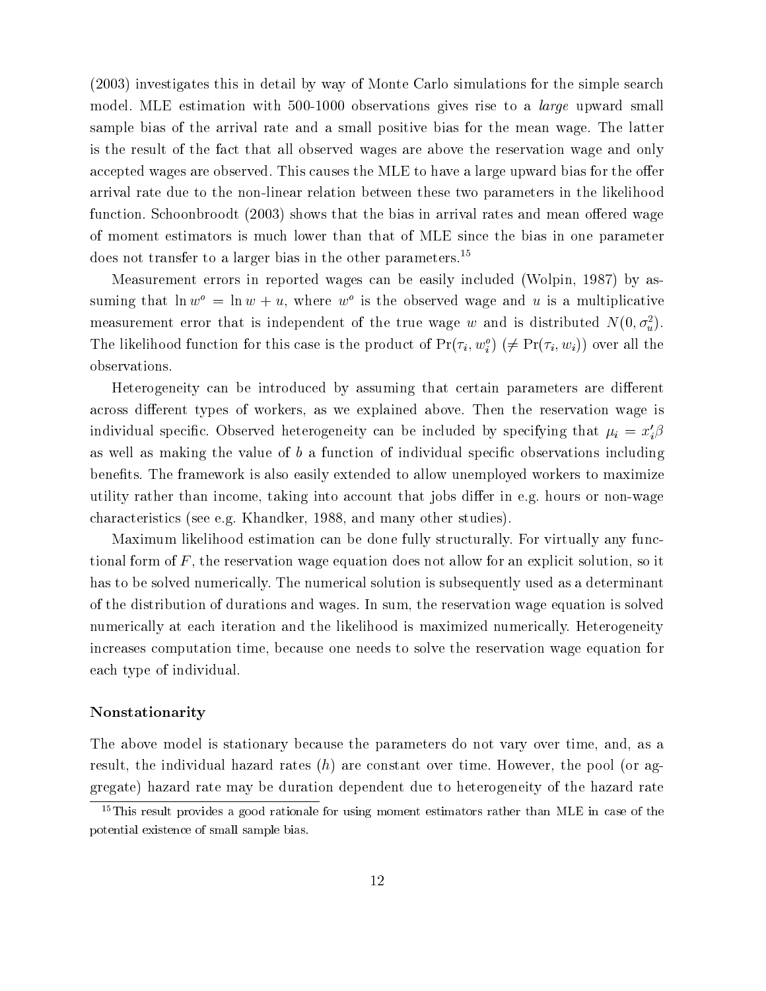(2003) investigates this in detail by way of Monte Carlo simulations for the simple search model. MLE estimation with 500-1000 observations gives rise to a *large* upward small sample bias of the arrival rate and a small positive bias for the mean wage. The latter is the result of the fact that all observed wages are above the reservation wage and only accepted wages are observed. This causes the MLE to have a large upward bias for the offer arrival rate due to the non-linear relation between these two parameters in the likelihood function. Schoonbroodt (2003) shows that the bias in arrival rates and mean offered wage of moment estimators is much lower than that of MLE since the bias in one parameter does not transfer to a larger bias in the other parameters.<sup>15</sup>

Measurement errors in reported wages can be easily included (Wolpin, 1987) by assuming that in  $w_{\parallel} = \ln w + u$ , where  $w_{\parallel}$  is the observed wage and  $u$  is a multiplicative measurement error that is independent of the true wage w and is distributed  $N(0, \sigma_u^2)$ . The likelihood function for this case is the product of  $\Pr(\tau_i, w_i)$  ( $\neq$   $\Pr(\tau_i, w_i)$ ) over all the observations.

Heterogeneity can be introduced by assuming that certain parameters are different across different types of workers, as we explained above. Then the reservation wage is individual specific. Observed heterogeneity can be included by specifying that  $\mu_i = x_i^{\prime} \beta$ as well as making the value of  $b$  a function of individual specific observations including benefits. The framework is also easily extended to allow unemployed workers to maximize utility rather than income, taking into account that jobs differ in e.g. hours or non-wage characteristics (see e.g. Khandker, 1988, and many other studies).

Maximum likelihood estimation can be done fully structurally. For virtually any functional form of  $F$ , the reservation wage equation does not allow for an explicit solution, so it has to be solved numerically. The numerical solution is subsequently used as a determinant of the distribution of durations and wages. In sum, the reservation wage equation is solved numerically at each iteration and the likelihood is maximized numerically. Heterogeneity increases computation time, because one needs to solve the reservation wage equation for each type of individual.

#### Nonstationarity

The above model is stationary because the parameters do not vary over time, and, as a result, the individual hazard rates  $(h)$  are constant over time. However, the pool (or aggregate) hazard rate may be duration dependent due to heterogeneity of the hazard rate

<sup>&</sup>lt;sup>15</sup>This result provides a good rationale for using moment estimators rather than MLE in case of the potential existence of small sample bias.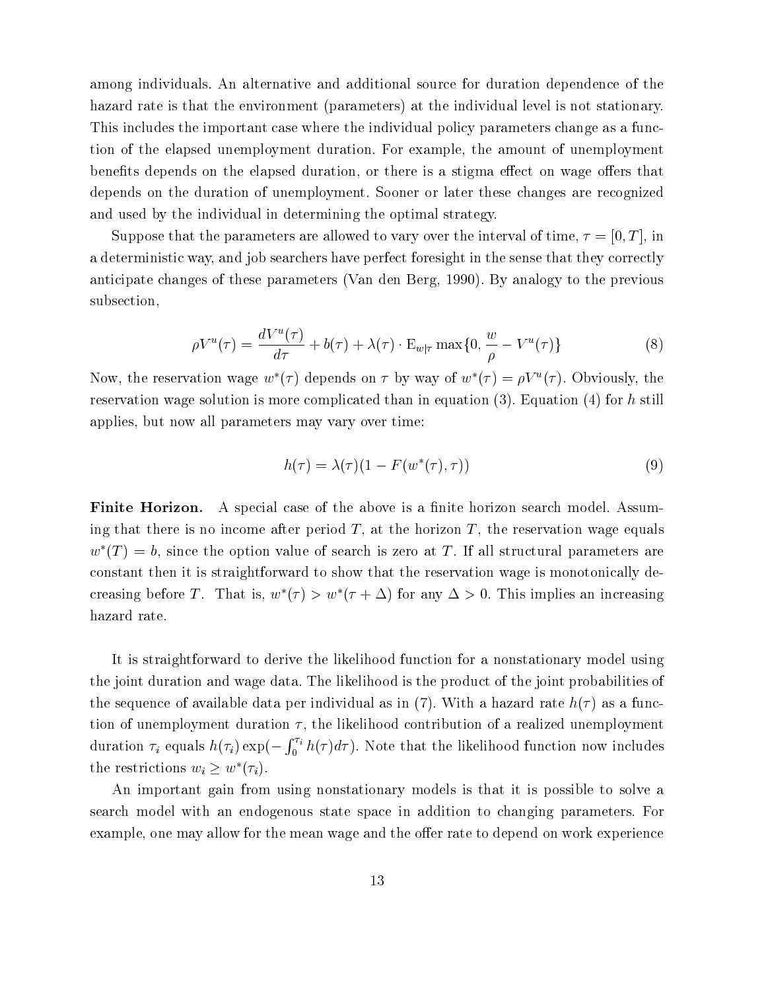among individuals. An alternative and additional source for duration dependence of the hazard rate is that the environment (parameters) at the individual level is not stationary. This includes the important case where the individual policy parameters change as a function of the elapsed unemployment duration. For example, the amount of unemployment benefits depends on the elapsed duration, or there is a stigma effect on wage offers that depends on the duration of unemployment. Sooner or later these changes are recognized and used by the individual in determining the optimal strategy.

Suppose that the parameters are allowed to vary over the interval of time,  $\tau = [0, T]$ , in a deterministic way, and job searchers have perfect foresight in the sense that they correctly anticipate changes of these parameters (Van den Berg, 1990). By analogy to the previous subsection,

$$
\rho V^{u}(\tau) = \frac{dV^{u}(\tau)}{d\tau} + b(\tau) + \lambda(\tau) \cdot \mathcal{E}_{w|\tau} \max\{0, \frac{w}{\rho} - V^{u}(\tau)\}\tag{8}
$$

Now, the reservation wage  $w(\tau)$  depends on  $\tau$  by way of  $w(\tau) = \rho v(\tau)$ . Obviously, the reservation wage solution is more complicated than in equation  $(3)$ . Equation  $(4)$  for h still applies, but now all parameters may vary over time:

$$
h(\tau) = \lambda(\tau)(1 - F(w^*(\tau), \tau))
$$
\n(9)

**Finite Horizon.** A special case of the above is a finite horizon search model. Assuming that there is no income after period  $T$ , at the horizon  $T$ , the reservation wage equals  $w^{*}(T) = b$ , since the option value of search is zero at T. If all structural parameters are constant then it is straightforward to show that the reservation wage is monotonically decreasing before T. That is,  $w^*(\tau) > w^*(\tau + \Delta)$  for any  $\Delta > 0$ . This implies an increasing hazard rate.

It is straightforward to derive the likelihood function for a nonstationary model using the joint duration and wage data. The likelihood is the product of the joint probabilities of the sequence of available data per individual as in (7). With a hazard rate  $h(\tau)$  as a function of unemployment duration  $\tau$ , the likelihood contribution of a realized unemployment duration is a set of  $\mathbf{u}$  of  $\mathbf{u}$  in the  $\mathbf{u}$  $\int_0^{\tau_i} h(\tau) d\tau$ ). Note that the likelihood function now includes the restrictions  $w_i \geq w_{\lceil}(\tau_i)$ .

An important gain from using nonstationary models is that it is possible to solve a search model with an endogenous state space in addition to changing parameters. For example, one may allow for the mean wage and the offer rate to depend on work experience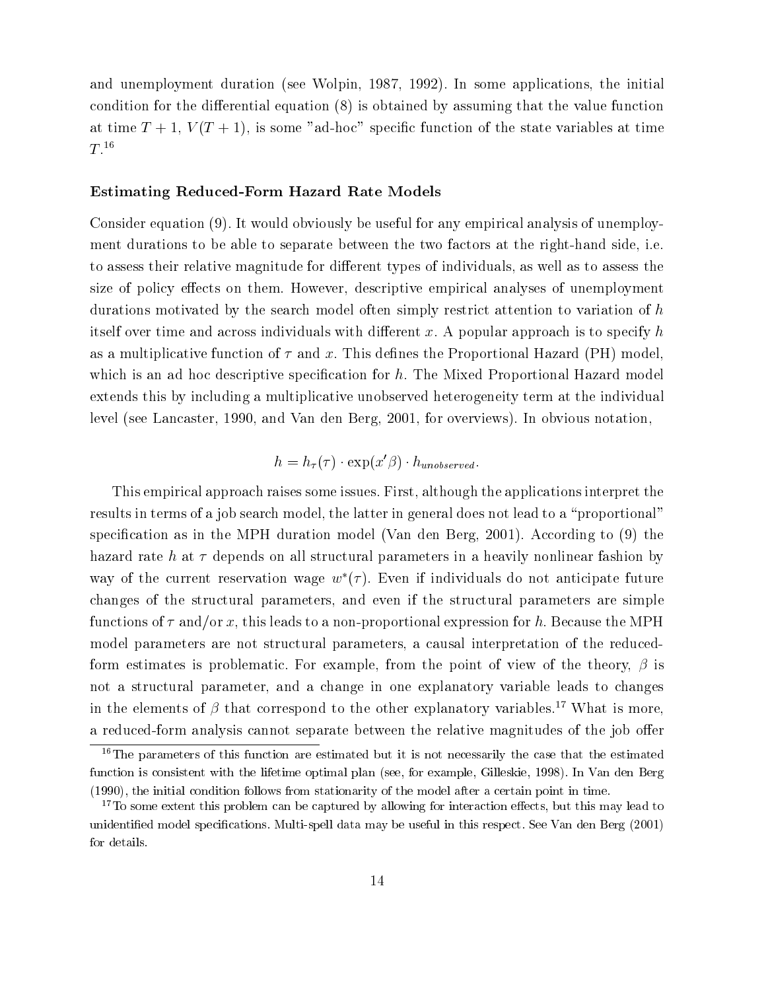and unemployment duration (see Wolpin, 1987, 1992). In some applications, the initial condition for the differential equation  $(8)$  is obtained by assuming that the value function at time  $T+1$ ,  $V(T+1)$ , is some "ad-hoc" specific function of the state variables at time  $T^{16}$ 

## Estimating Reduced-Form Hazard Rate Models

Consider equation (9). It would obviously be useful for any empirical analysis of unemployment durations to be able to separate between the two factors at the right-hand side, i.e. to assess their relative magnitude for different types of individuals, as well as to assess the size of policy effects on them. However, descriptive empirical analyses of unemployment durations motivated by the search model often simply restrict attention to variation of h itself over time and across individuals with different x. A popular approach is to specify h as a multiplicative function of  $\tau$  and x. This defines the Proportional Hazard (PH) model, which is an ad hoc descriptive specification for  $h$ . The Mixed Proportional Hazard model extends this by including a multiplicative unobserved heterogeneity term at the individual level (see Lancaster, 1990, and Van den Berg, 2001, for overviews). In obvious notation,

$$
h = h_{\tau}(\tau) \cdot \exp(x' \beta) \cdot h_{unobserved}.
$$

This empirical approach raises some issues. First, although the applications interpret the results in terms of a job search model, the latter in general does not lead to a "proportional" specification as in the MPH duration model (Van den Berg, 2001). According to  $(9)$  the hazard rate h at  $\tau$  depends on all structural parameters in a heavily nonlinear fashion by way of the current reservation wage  $w^*(\tau)$ . Even if individuals do not anticipate future changes of the structural parameters, and even if the structural parameters are simple functions of  $\tau$  and/or x, this leads to a non-proportional expression for h. Because the MPH model parameters are not structural parameters, a causal interpretation of the reducedform estimates is problematic. For example, from the point of view of the theory,  $\beta$  is not a structural parameter, and a change in one explanatory variable leads to changes in the elements of  $\beta$  that correspond to the other explanatory variables.<sup>17</sup> What is more, a reduced-form analysis cannot separate between the relative magnitudes of the job offer

<sup>&</sup>lt;sup>16</sup>The parameters of this function are estimated but it is not necessarily the case that the estimated function is consistent with the lifetime optimal plan (see, for example, Gilleskie, 1998). In Van den Berg (1990), the initial condition follows from stationarity of the model after a certain point in time.

<sup>&</sup>lt;sup>17</sup>To some extent this problem can be captured by allowing for interaction effects, but this may lead to unidentied model specications. Multi-spell data may be useful in this respect. See Van den Berg (2001) for details.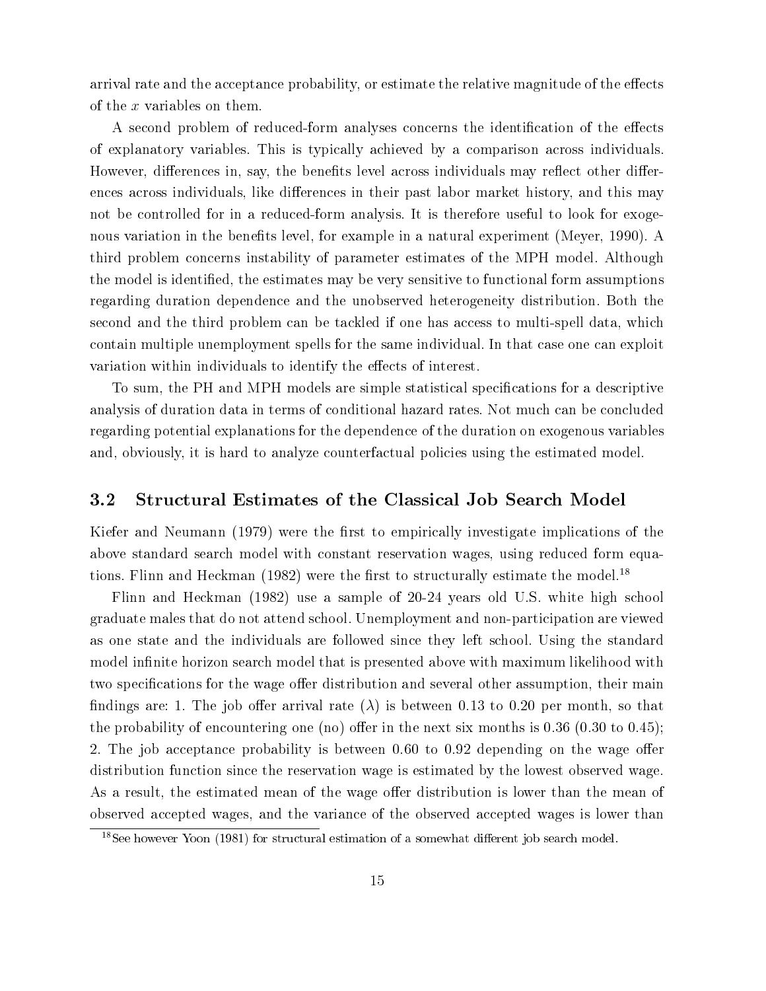arrival rate and the acceptance probability, or estimate the relative magnitude of the effects of the x variables on them.

A second problem of reduced-form analyses concerns the identification of the effects of explanatory variables. This is typically achieved by a comparison across individuals. However, differences in, say, the benefits level across individuals may reflect other differences across individuals, like differences in their past labor market history, and this may not be controlled for in a reduced-form analysis.It is therefore useful to look for exogenous variation in the benefits level, for example in a natural experiment (Meyer, 1990). A third problem concerns instability of parameter estimates of the MPH model. Although the model is identied, the estimates may be very sensitive to functional form assumptions regarding duration dependence and the unobserved heterogeneity distribution. Both the second and the third problem can be tackled if one has access to multi-spell data, which contain multiple unemployment spells for the same individual. In that case one can exploit variation within individuals to identify the effects of interest.

To sum, the PH and MPH models are simple statistical specifications for a descriptive analysis of duration data in terms of conditional hazard rates. Not much can be concluded regarding potential explanations for the dependence of the duration on exogenous variables and, obviously, it is hard to analyze counterfactual policies using the estimated model.

#### 3.2Structural Estimates of the Classical Job Search Model

Kiefer and Neumann (1979) were the first to empirically investigate implications of the above standard search model with constant reservation wages, using reduced form equations. Flinn and Heckman (1982) were the first to structurally estimate the model.<sup>18</sup>

Flinn and Heckman (1982) use a sample of 20-24 years old U.S. white high school graduate males that do not attend school. Unemployment and non-participation are viewed as one state and the individuals are followed since they left school. Using the standard model infinite horizon search model that is presented above with maximum likelihood with two specifications for the wage offer distribution and several other assumption, their main findings are: 1. The job offer arrival rate ( $\lambda$ ) is between 0.13 to 0.20 per month, so that the probability of encountering one (no) offer in the next six months is  $0.36$  ( $0.30$  to  $0.45$ ); 2. The job acceptance probability is between  $0.60$  to  $0.92$  depending on the wage offer distribution function since the reservation wage is estimated by the lowest observed wage. As a result, the estimated mean of the wage offer distribution is lower than the mean of observed accepted wages, and the variance of the observed accepted wages is lower than

 $18$ See however Yoon (1981) for structural estimation of a somewhat different job search model.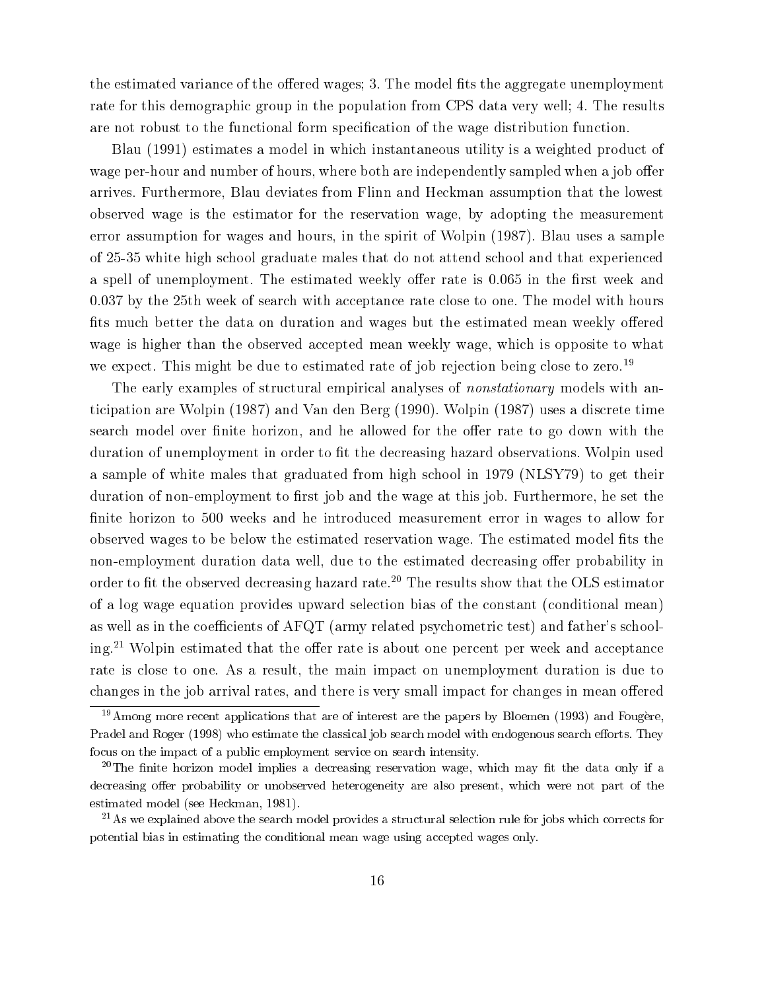the estimated variance of the offered wages; 3. The model fits the aggregate unemployment rate for this demographic group in the population from CPS data very well; 4. The results are not robust to the functional form specication of the wage distribution function.

Blau (1991) estimates a model in which instantaneous utility is a weighted product of wage per-hour and number of hours, where both are independently sampled when a job offer arrives. Furthermore, Blau deviates from Flinn and Heckman assumption that the lowest observed wage is the estimator for the reservation wage, by adopting the measurement error assumption for wages and hours, in the spirit of Wolpin (1987). Blau uses a sample of 25-35 white high school graduate males that do not attend school and that experienced a spell of unemployment. The estimated weekly offer rate is 0.065 in the first week and 0.037 by the 25th week of search with acceptance rate close to one. The model with hours fits much better the data on duration and wages but the estimated mean weekly offered wage is higher than the observed accepted mean weekly wage, which is opposite to what we expect. This might be due to estimated rate of job rejection being close to zero.<sup>19</sup>

The early examples of structural empirical analyses of *nonstationary* models with anticipation are Wolpin (1987) and Van den Berg (1990). Wolpin (1987) uses a discrete time search model over finite horizon, and he allowed for the offer rate to go down with the duration of unemployment in order to fit the decreasing hazard observations. Wolpin used a sample of white males that graduated from high school in 1979 (NLSY79) to get their duration of non-employment to first job and the wage at this job. Furthermore, he set the finite horizon to 500 weeks and he introduced measurement error in wages to allow for observed wages to be below the estimated reservation wage. The estimated model fits the non-employment duration data well, due to the estimated decreasing offer probability in order to fit the observed decreasing hazard rate.<sup>20</sup> The results show that the OLS estimator of a log wage equation provides upward selection bias of the constant (conditional mean) as well as in the coefficients of  $AFGT$  (army related psychometric test) and father's schooling.<sup>21</sup> Wolpin estimated that the offer rate is about one percent per week and acceptance rate is close to one. As a result, the main impact on unemployment duration is due to changes in the job arrival rates, and there is very small impact for changes in mean offered

 $19$ Among more recent applications that are of interest are the papers by Bloemen (1993) and Fougère, Pradel and Roger (1998) who estimate the classical job search model with endogenous search efforts. They focus on the impact of a public employment service on search intensity.

 $20$ The finite horizon model implies a decreasing reservation wage, which may fit the data only if a decreasing offer probability or unobserved heterogeneity are also present, which were not part of the estimated model (see Heckman, 1981).

<sup>&</sup>lt;sup>21</sup>As we explained above the search model provides a structural selection rule for jobs which corrects for potential bias in estimating the conditional mean wage using accepted wages only.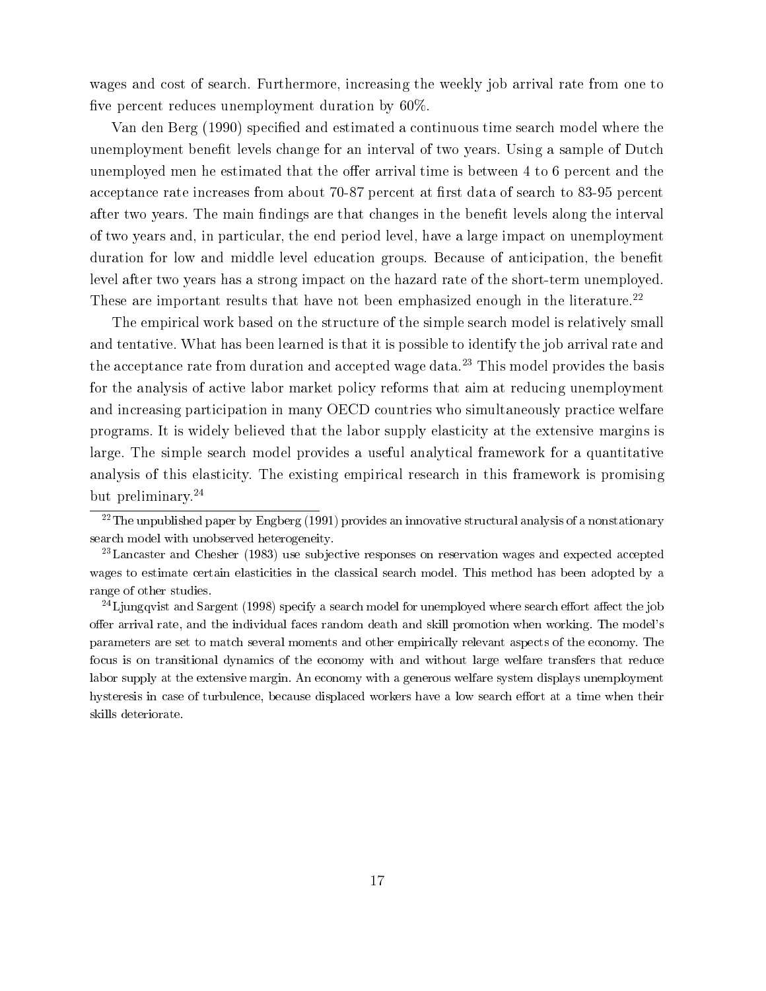wages and cost of search. Furthermore, increasing the weekly job arrival rate from one to five percent reduces unemployment duration by  $60\%$ .

Van den Berg (1990) specied and estimated a continuous time search model where the unemployment benefit levels change for an interval of two years. Using a sample of Dutch unemployed men he estimated that the offer arrival time is between 4 to 6 percent and the acceptance rate increases from about 70-87 percent at first data of search to 83-95 percent after two years. The main findings are that changes in the benefit levels along the interval of two years and, in particular, the end period level, have a large impact on unemployment duration for low and middle level education groups. Because of anticipation, the benefit level after two years has a strong impact on the hazard rate of the short-term unemployed. These are important results that have not been emphasized enough in the literature.<sup>22</sup>

The empirical work based on the structure of the simple search model is relatively small and tentative. What has been learned is that it is possible to identify the job arrival rate and the acceptance rate from duration and accepted wage data.<sup>23</sup> This model provides the basis for the analysis of active labor market policy reforms that aim at reducing unemployment and increasing participation in many OECD countries who simultaneously practice welfare programs. It is widely believed that the labor supply elasticity at the extensive margins is large. The simple search model provides a useful analytical framework for a quantitative analysis of this elasticity. The existing empirical research in this framework is promising but preliminary.<sup>24</sup>

<sup>&</sup>lt;sup>22</sup>The unpublished paper by Engberg (1991) provides an innovative structural analysis of a nonstationary search model with unobserved heterogeneity.

<sup>&</sup>lt;sup>23</sup>Lancaster and Chesher (1983) use subjective responses on reservation wages and expected accepted wages to estimate certain elasticities in the classical search model. This method has been adopted by a range of other studies.

 $^{24}$ Ljungqvist and Sargent (1998) specify a search model for unemployed where search effort affect the job offer arrival rate, and the individual faces random death and skill promotion when working. The model's parameters are set to match several moments and other empirically relevant aspects of the economy. The focus is on transitional dynamics of the economy with and without large welfare transfers that reduce labor supply at the extensive margin. An economy with a generous welfare system displays unemployment hysteresis in case of turbulence, because displaced workers have a low search effort at a time when their skills deteriorate.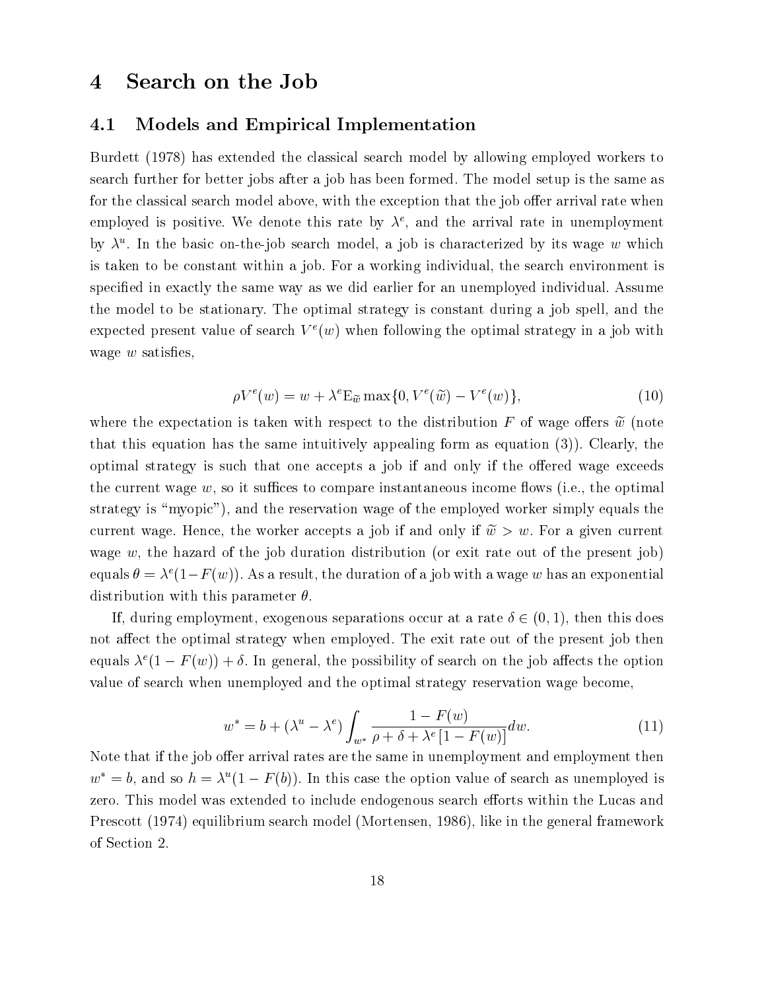## 4 Search on the Job

#### 4.1Models and Empirical Implementation

Burdett (1978) has extended the classical search model by allowing employed workers to search further for better jobs after a job has been formed. The model setup is the same as for the classical search model above, with the exception that the job offer arrival rate when employed is positive. We denote this rate by  $\lambda$  , and the arrival rate in unemployment by  $\lambda^+$ . In the basic on-the-job search model, a job is characterized by its wage  $w$  which is taken to be constant within a job. For a working individual, the search environment is specified in exactly the same way as we did earlier for an unemployed individual. Assume the model to be stationary. The optimal strategy is constant during a job spell, and the expected present value of search  $V^e(w)$  when following the optimal strategy in a job with wage  $w$  satisfies,

$$
\rho V^{e}(w) = w + \lambda^{e} \mathcal{E}_{\tilde{w}} \max\{0, V^{e}(\tilde{w}) - V^{e}(w)\},\tag{10}
$$

where the expectation is taken with respect to the distribution F of wage offers  $\tilde{w}$  (note that this equation has the same intuitively appealing form as equation (3)). Clearly, the optimal strategy is such that one accepts a job if and only if the offered wage exceeds the current wage  $w$ , so it suffices to compare instantaneous income flows (i.e., the optimal strategy is "myopic"), and the reservation wage of the employed worker simply equals the current wage. Hence, the worker accepts a job if and only if  $\tilde{w} > w$ . For a given current wage w, the hazard of the job duration distribution (or exit rate out of the present job) equals  $\theta = \lambda^e(1-F(w))$ . As a result, the duration of a job with a wage w has an exponential distribution with this parameter  $\theta$ .

If, during employment, exceptions of separations of a rate  $2$  and  $2$  rates  $2$   $\pm$   $\sqrt{2}$   $\pm$   $\sqrt{2}$ not affect the optimal strategy when employed. The exit rate out of the present job then equals  $\lambda$  (1  $-F$  (w)) + 0. In general, the possibility of search on the job affects the option value of search when unemployed and the optimal strategy reservation wage become,

$$
w^* = b + (\lambda^u - \lambda^e) \int_{w^*} \frac{1 - F(w)}{\rho + \delta + \lambda^e [1 - F(w)]} dw.
$$
 (11)

Note that if the job offer arrival rates are the same in unemployment and employment then  $w_{\parallel} = v$ , and so  $n = \lambda^2 (1 - F(v))$ . In this case the option value of search as unemployed is zero. This model was extended to include endogenous search efforts within the Lucas and Prescott (1974) equilibrium search model (Mortensen, 1986), like in the general framework of Section 2.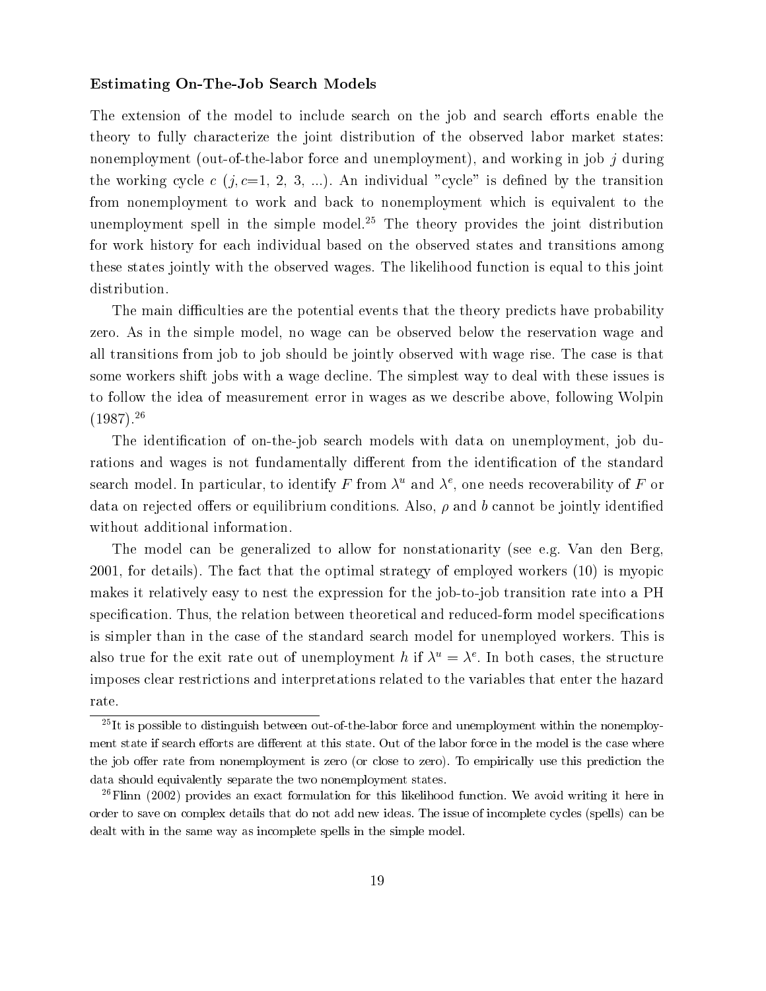#### Estimating On-The-Job Search Models

The extension of the model to include search on the job and search efforts enable the theory to fully characterize the joint distribution of the observed labor market states: nonemployment (out-of-the-labor force and unemployment), and working in job  $j$  during the working cycle  $c$  (j,  $c=1, 2, 3, ...$ ). An individual "cycle" is defined by the transition from nonemployment to work and back to nonemployment which is equivalent to the unemployment spell in the simple model.<sup>25</sup> The theory provides the joint distribution for work history for each individual based on the observed states and transitions among these states jointly with the observed wages. The likelihood function is equal to this joint distribution.

The main difficulties are the potential events that the theory predicts have probability zero. As in the simple model, no wage can be observed below the reservation wage and all transitions from job to job should be jointly observed with wage rise. The case is that some workers shift jobs with a wage decline. The simplest way to deal with these issues is to follow the idea of measurement error in wages as we describe above, following Wolpin  $(1987).^{26}$ 

The identification of on-the-job search models with data on unemployment, job durations and wages is not fundamentally different from the identification of the standard search model. In particular, to identify  $F$  from  $\lambda^*$  and  $\lambda^*$ , one needs recoverability of  $F$  or data on rejected offers or equilibrium conditions. Also,  $\rho$  and b cannot be jointly identified without additional information.

The model can be generalized to allow for nonstationarity (see e.g. Van den Berg, 2001, for details). The fact that the optimal strategy of employed workers (10) is myopic makes it relatively easy to nest the expression for the job-to-job transition rate into a PH specification. Thus, the relation between theoretical and reduced-form model specifications is simpler than in the case of the standard search model for unemployed workers. This is also true for the exit rate out of unemployment h if  $\lambda_{\parallel} = \lambda$  . In both cases, the structure imposes clear restrictions and interpretations related to the variables that enter the hazard rate.

 $^{25}$ It is possible to distinguish between out-of-the-labor force and unemployment within the nonemployment state if search efforts are different at this state. Out of the labor force in the model is the case where the job offer rate from nonemployment is zero (or close to zero). To empirically use this prediction the data should equivalently separate the two nonemployment states.

 $^{26}$ Flinn (2002) provides an exact formulation for this likelihood function. We avoid writing it here in order to save on complex details that do not add new ideas. The issue of incomplete cycles (spells) can be dealt with in the same way as incomplete spells in the simple model.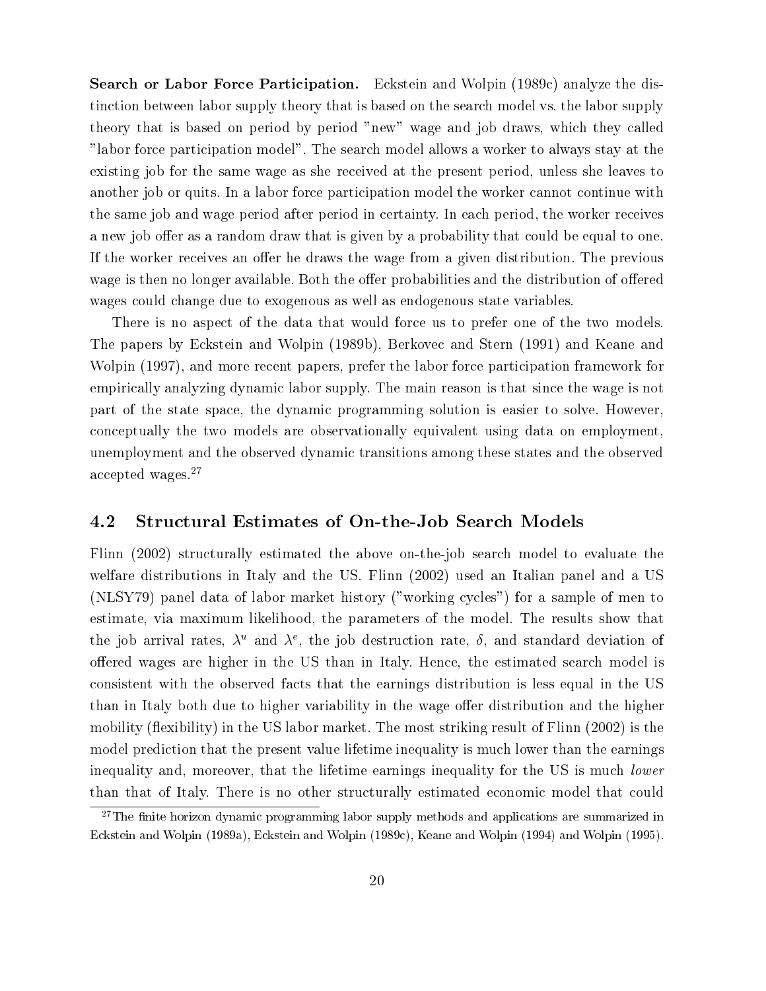Search or Labor Force Participation. Eckstein and Wolpin (1989c) analyze the distinction between labor supply theory that is based on the search model vs. the labor supply theory that is based on period by period "new" wage and job draws, which they called "labor force participation model". The search model allows a worker to always stay at the existing job for the same wage as she received at the present period, unless she leaves to another job or quits. In a labor force participation model the worker cannot continue with the same job and wage period after period in certainty. In each period, the worker receives a new job offer as a random draw that is given by a probability that could be equal to one. If the worker receives an offer he draws the wage from a given distribution. The previous wage is then no longer available. Both the offer probabilities and the distribution of offered wages could change due to exogenous as well as endogenous state variables.

There is no aspect of the data that would force us to prefer one of the two models. The papers by Eckstein and Wolpin (1989b), Berkovec and Stern (1991) and Keane and Wolpin (1997), and more recent papers, prefer the labor force participation framework for empirically analyzing dynamic labor supply. The main reason is that since the wage is not part of the state space, the dynamic programming solution is easier to solve. However, conceptually the two models are observationally equivalent using data on employment, unemployment and the observed dynamic transitions among these states and the observed accepted wages.27

#### 4.2Structural Estimates of On-the-Job Search Models

Flinn (2002) structurally estimated the above on-the-job search model to evaluate the welfare distributions in Italy and the US. Flinn (2002) used an Italian panel and a US (NLSY79) panel data of labor market history ("working cycles") for a sample of men to estimate, via maximum likelihood, the parameters of the model. The results show that the job arrival rates,  $\lambda^*$  and  $\lambda^*,$  the job destruction rate,  $\theta,$  and standard deviation of offered wages are higher in the US than in Italy. Hence, the estimated search model is consistent with the observed facts that the earnings distribution is less equal in the US than in Italy both due to higher variability in the wage offer distribution and the higher mobility (flexibility) in the US labor market. The most striking result of Flinn (2002) is the model prediction that the present value lifetime inequality is much lower than the earnings inequality and, moreover, that the lifetime earnings inequality for the US is much *lower* than that of Italy. There is no other structurally estimated economic model that could

 $27$ The finite horizon dynamic programming labor supply methods and applications are summarized in Eckstein and Wolpin (1989a), Eckstein and Wolpin (1989c), Keane and Wolpin (1994) and Wolpin (1995).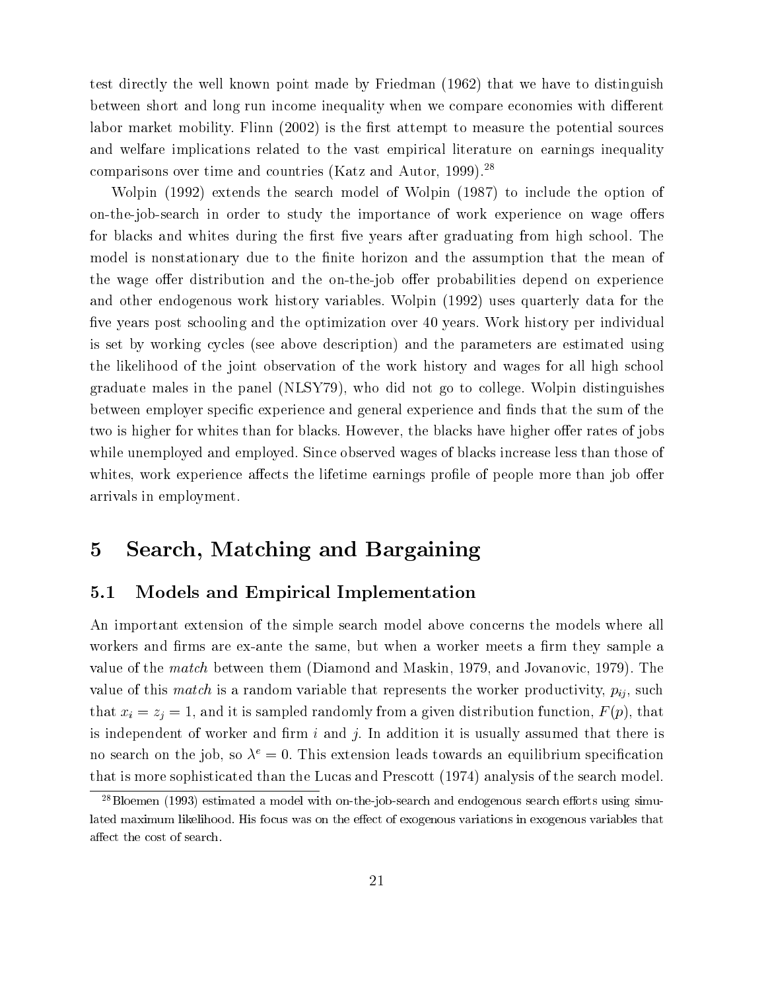test directly the well known point made by Friedman (1962) that we have to distinguish between short and long run income inequality when we compare economies with different labor market mobility. Flinn (2002) is the first attempt to measure the potential sources and welfare implications related to the vast empirical literature on earnings inequality comparisons over time and countries (Katz and Autor, 1999).<sup>28</sup>

Wolpin (1992) extends the search model of Wolpin (1987) to include the option of on-the-job-search in order to study the importance of work experience on wage offers for blacks and whites during the first five years after graduating from high school. The model is nonstationary due to the finite horizon and the assumption that the mean of the wage offer distribution and the on-the-job offer probabilities depend on experience and other endogenous work history variables. Wolpin (1992) uses quarterly data for the five years post schooling and the optimization over 40 years. Work history per individual is set by working cycles (see above description) and the parameters are estimated using the likelihood of the joint observation of the work history and wages for all high school graduate males in the panel (NLSY79), who did not go to college. Wolpin distinguishes between employer specific experience and general experience and finds that the sum of the two is higher for whites than for blacks. However, the blacks have higher offer rates of jobs while unemployed and employed. Since observed wages of blacks increase less than those of whites, work experience affects the lifetime earnings profile of people more than job offer arrivals in employment.

# 5 Search, Matching and Bargaining

#### 5.1Models and Empirical Implementation

An important extension of the simple search model above concerns the models where all workers and firms are ex-ante the same, but when a worker meets a firm they sample a value of the match between them (Diamond and Maskin, 1979, and Jovanovic, 1979). The value of this *match* is a random variable that represents the worker productivity,  $p_{ij}$ , such that  $x_i = z_j = 1$ , and it is sampled randomly from a given distribution function,  $F(p)$ , that is independent of worker and firm  $i$  and  $j$ . In addition it is usually assumed that there is no search on the job, so  $\lambda^e = 0$ . This extension leads towards an equilibrium specification that is more sophisticated than the Lucas and Prescott (1974) analysis of the search model.

 $^{28}$ Bloemen (1993) estimated a model with on-the-job-search and endogenous search efforts using simulated maximum likelihood. His focus was on the effect of exogenous variations in exogenous variables that affect the cost of search.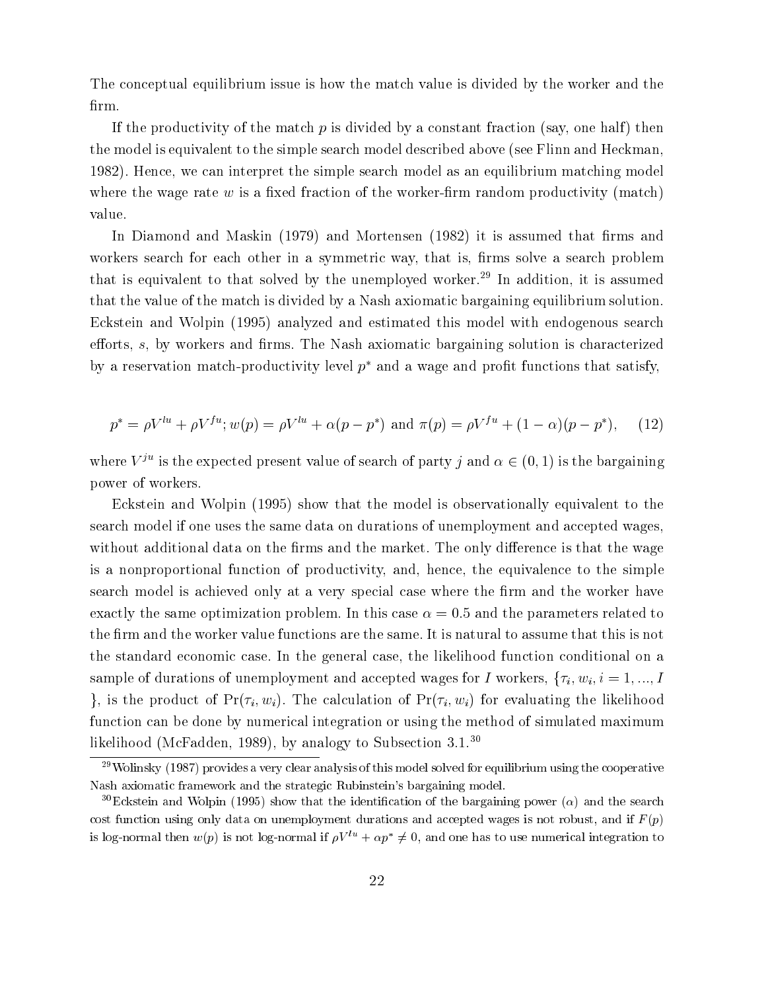The conceptual equilibrium issue is how the match value is divided by the worker and the firm.

If the productivity of the match  $p$  is divided by a constant fraction (say, one half) then the model is equivalent to the simple search model described above (see Flinn and Heckman, 1982). Hence, we can interpret the simple search model as an equilibrium matching model where the wage rate  $w$  is a fixed fraction of the worker-firm random productivity (match) value.

In Diamond and Maskin (1979) and Mortensen (1982) it is assumed that firms and workers search for each other in a symmetric way, that is, firms solve a search problem that is equivalent to that solved by the unemployed worker.<sup>29</sup> In addition, it is assumed that the value of the match is divided by a Nash axiomatic bargaining equilibrium solution. Eckstein and Wolpin (1995) analyzed and estimated this model with endogenous search efforts,  $s$ , by workers and firms. The Nash axiomatic bargaining solution is characterized by a reservation match-productivity level  $p^*$  and a wage and profit functions that satisfy,

$$
p^* = \rho V^{lu} + \rho V^{fu}; w(p) = \rho V^{lu} + \alpha(p - p^*) \text{ and } \pi(p) = \rho V^{fu} + (1 - \alpha)(p - p^*), \quad (12)
$$

where  $V^*$  is the expected present value of search of party j and  $\alpha \in (0,1)$  is the bargaining power of workers.

Eckstein and Wolpin (1995) show that the model is observationally equivalent to the search model if one uses the same data on durations of unemployment and accepted wages, without additional data on the firms and the market. The only difference is that the wage is a nonproportional function of productivity, and, hence, the equivalence to the simple search model is achieved only at a very special case where the firm and the worker have exactly the same optimization problem. In this case  $\alpha = 0.5$  and the parameters related to the firm and the worker value functions are the same. It is natural to assume that this is not the standard economic case. In the general case, the likelihood function conditional on a sample of durations of unemployment and accepted wages for I workers,  $\{\tau_i, w_i, i = 1, ..., I\}$  $\}$ , is the product of  $Pr(\tau_i, w_i)$ . The calculation of  $Pr(\tau_i, w_i)$  for evaluating the likelihood function can be done by numerical integration or using the method of simulated maximum likelihood (McFadden, 1989), by analogy to Subsection 3.1.<sup>30</sup>

 $^{29}$ Wolinsky (1987) provides a very clear analysis of this model solved for equilibrium using the cooperative Nash axiomatic framework and the strategic Rubinstein's bargaining model.

<sup>&</sup>lt;sup>30</sup>Eckstein and Wolpin (1995) show that the identification of the bargaining power ( $\alpha$ ) and the search cost function using only data on unemployment durations and accepted wages is not robust, and if  $F(p)$ is log-normal then  $w(p)$  is not log-normal if  $\rho V^{lu} + \alpha p^* \neq 0$ , and one has to use numerical integration to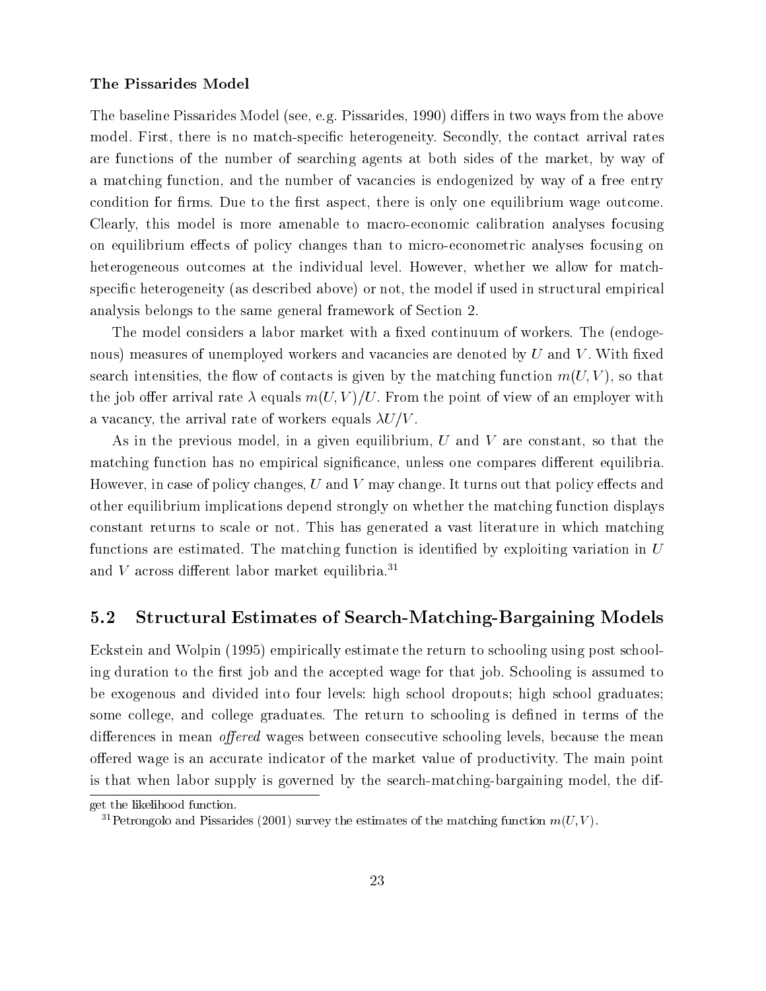#### The Pissarides Model

The baseline Pissarides Model (see, e.g. Pissarides, 1990) differs in two ways from the above model. First, there is no match-specific heterogeneity. Secondly, the contact arrival rates are functions of the number of searching agents at both sides of the market, by way of a matching function, and the number of vacancies is endogenized by way of a free entry condition for firms. Due to the first aspect, there is only one equilibrium wage outcome. Clearly, this model is more amenable to macro-economic calibration analyses focusing on equilibrium effects of policy changes than to micro-econometric analyses focusing on heterogeneous outcomes at the individual level. However, whether we allow for matchspecific heterogeneity (as described above) or not, the model if used in structural empirical analysis belongs to the same general framework of Section 2.

The model considers a labor market with a fixed continuum of workers. The (endogenous) measures of unemployed workers and vacancies are denoted by  $U$  and  $V$ . With fixed search intensities, the flow of contacts is given by the matching function  $m(U, V)$ , so that the job offer arrival rate  $\lambda$  equals  $m(U, V)/U$ . From the point of view of an employer with a vacancy, the arrival rate of workers equals  $\lambda U/V$ .

As in the previous model, in a given equilibrium,  $U$  and  $V$  are constant, so that the matching function has no empirical significance, unless one compares different equilibria. However, in case of policy changes,  $U$  and  $V$  may change. It turns out that policy effects and other equilibrium implications depend strongly on whether the matching function displays constant returns to scale or not. This has generated a vast literature in which matching functions are estimated. The matching function is identified by exploiting variation in  $U$ and V across different labor market equilibria.<sup>31</sup>

#### 5.2Structural Estimates of Search-Matching-Bargaining Models

Eckstein and Wolpin (1995) empirically estimate the return to schooling using post schooling duration to the first job and the accepted wage for that job. Schooling is assumed to be exogenous and divided into four levels: high school dropouts; high school graduates; some college, and college graduates. The return to schooling is defined in terms of the differences in mean *offered* wages between consecutive schooling levels, because the mean offered wage is an accurate indicator of the market value of productivity. The main point is that when labor supply is governed by the search-matching-bargaining model, the dif-

get the likelihood function.

<sup>&</sup>lt;sup>31</sup> Petrongolo and Pissarides (2001) survey the estimates of the matching function  $m(U, V)$ .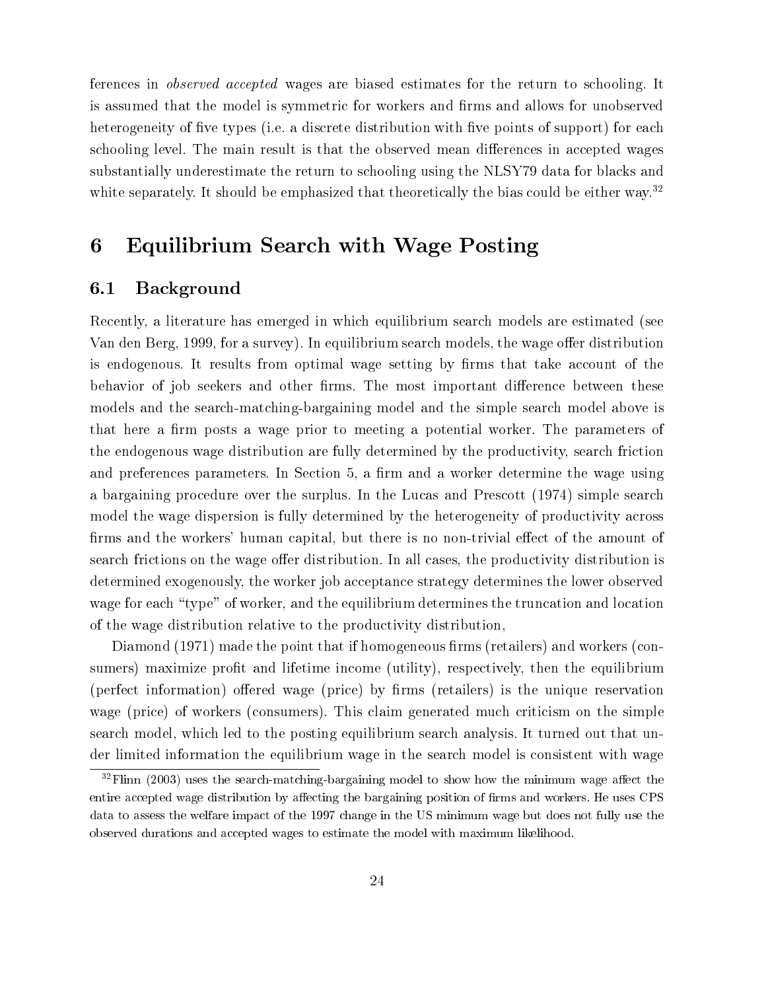ferences in observed accepted wages are biased estimates for the return to schooling. It is assumed that the model is symmetric for workers and firms and allows for unobserved heterogeneity of five types (i.e. a discrete distribution with five points of support) for each schooling level. The main result is that the observed mean differences in accepted wages substantially underestimate the return to schooling using the NLSY79 data for blacks and white separately. It should be emphasized that theoretically the bias could be either way.<sup>32</sup>

#### 6 Equilibrium Search with Wage Posting 6

#### 6.1Background

Recently, a literature has emerged in which equilibrium search models are estimated (see Van den Berg, 1999, for a survey). In equilibrium search models, the wage offer distribution is endogenous. It results from optimal wage setting by firms that take account of the behavior of job seekers and other firms. The most important difference between these models and the search-matching-bargaining model and the simple search model above is that here a firm posts a wage prior to meeting a potential worker. The parameters of the endogenous wage distribution are fully determined by the productivity, search friction and preferences parameters. In Section 5, a firm and a worker determine the wage using a bargaining procedure over the surplus. In the Lucas and Prescott (1974) simple search model the wage dispersion is fully determined by the heterogeneity of productivity across firms and the workers' human capital, but there is no non-trivial effect of the amount of search frictions on the wage offer distribution. In all cases, the productivity distribution is determined exogenously, the worker job acceptance strategy determines the lower observed wage for each "type" of worker, and the equilibrium determines the truncation and location of the wage distribution relative to the productivity distribution,

Diamond (1971) made the point that if homogeneous firms (retailers) and workers (consumers) maximize profit and lifetime income (utility), respectively, then the equilibrium (perfect information) offered wage (price) by firms (retailers) is the unique reservation wage (price) of workers (consumers). This claim generated much criticism on the simple search model, which led to the posting equilibrium search analysis. It turned out that under limited information the equilibrium wage in the search model is consistent with wage

 $32$ Flinn (2003) uses the search-matching-bargaining model to show how the minimum wage affect the entire accepted wage distribution by affecting the bargaining position of firms and workers. He uses CPS data to assess the welfare impact of the 1997 change in the US minimum wage but does not fully use the observed durations and accepted wages to estimate the model with maximum likelihood.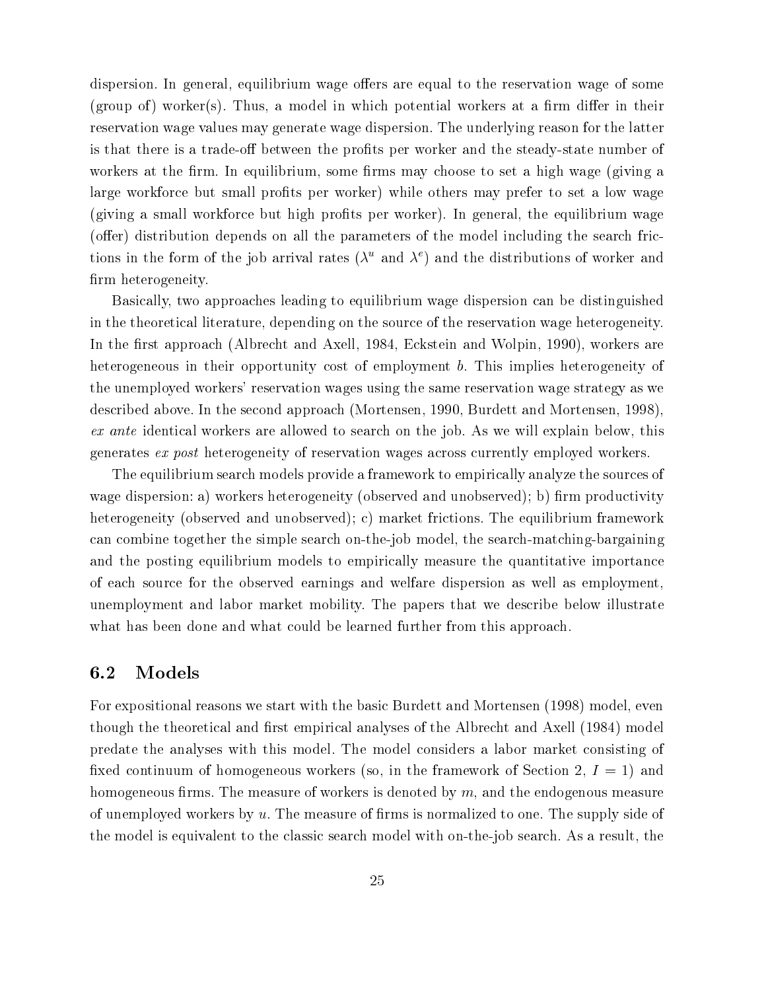dispersion. In general, equilibrium wage offers are equal to the reservation wage of some  $(group of) worker(s)$ . Thus, a model in which potential workers at a firm differ in their reservation wage values may generate wage dispersion. The underlying reason for the latter is that there is a trade-off between the profits per worker and the steady-state number of workers at the firm. In equilibrium, some firms may choose to set a high wage (giving a large workforce but small profits per worker) while others may prefer to set a low wage (giving a small workforce but high profits per worker). In general, the equilibrium wage (offer) distribution depends on all the parameters of the model including the search frictions in the form of the job arrival rates ( $\lambda^u$  and  $\lambda^e$ ) and the distributions of worker and firm heterogeneity.

Basically, two approaches leading to equilibrium wage dispersion can be distinguished in the theoretical literature, depending on the source of the reservation wage heterogeneity. In the first approach (Albrecht and Axell, 1984, Eckstein and Wolpin, 1990), workers are heterogeneous in their opportunity cost of employment b. This implies heterogeneity of the unemployed workers' reservation wages using the same reservation wage strategy as we described above. In the second approach (Mortensen, 1990, Burdett and Mortensen, 1998), ex ante identical workers are allowed to search on the job. As we will explain below, this generates ex post heterogeneity of reservation wages across currently employed workers.

The equilibrium search models provide a framework to empirically analyze the sources of wage dispersion: a) workers heterogeneity (observed and unobserved); b) firm productivity heterogeneity (observed and unobserved); c) market frictions. The equilibrium framework can combine together the simple search on-the-job model, the search-matching-bargaining and the posting equilibrium models to empirically measure the quantitative importance of each source for the observed earnings and welfare dispersion as well as employment, unemployment and labor market mobility. The papers that we describe below illustrate what has been done and what could be learned further from this approach.

#### 6.2Models

For expositional reasons we start with the basic Burdett and Mortensen (1998) model, even though the theoretical and first empirical analyses of the Albrecht and Axell (1984) model predate the analyses with this model. The model considers a labor market consisting of fixed continuum of homogeneous workers (so, in the framework of Section 2,  $I = 1$ ) and homogeneous firms. The measure of workers is denoted by  $m$ , and the endogenous measure of unemployed workers by  $u$ . The measure of firms is normalized to one. The supply side of the model is equivalent to the classic search model with on-the-job search. As a result, the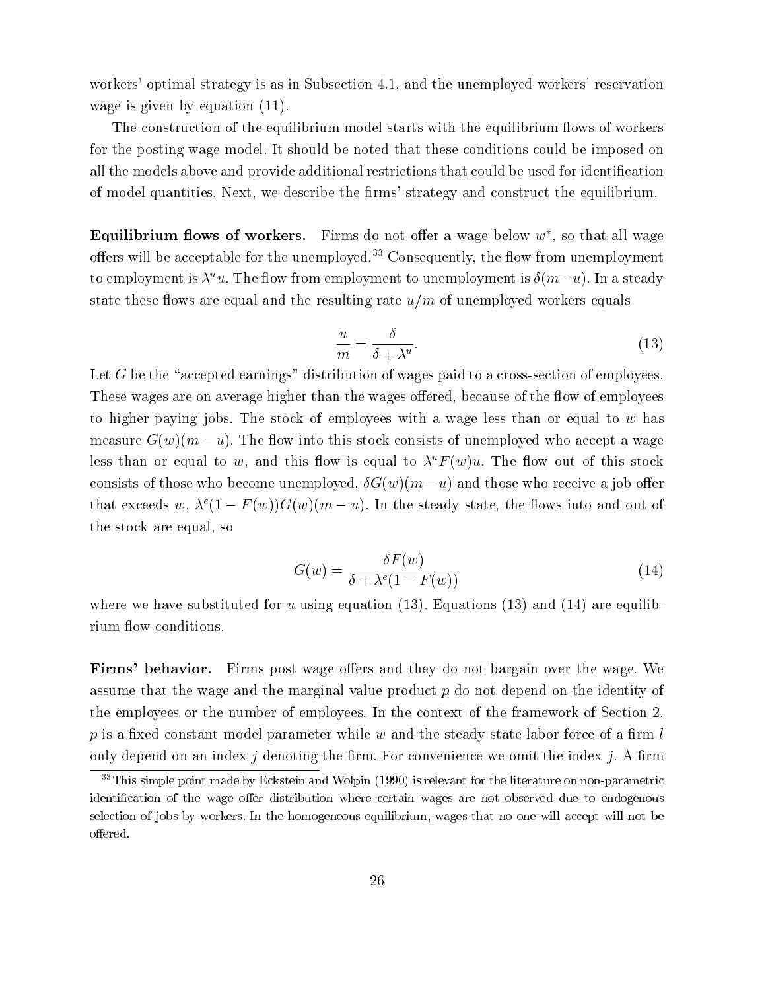workers' optimal strategy is as in Subsection 4.1, and the unemployed workers' reservation wage is given by equation (11).

The construction of the equilibrium model starts with the equilibrium flows of workers for the posting wage model. It should be noted that these conditions could be imposed on all the models above and provide additional restrictions that could be used for identification of model quantities. Next, we describe the rms' strategy and construct the equilibrium.

**Equilibrium hows of workers.** Firms do not oner a wage below  $w$  , so that all wage offers will be acceptable for the unemployed.<sup>33</sup> Consequently, the flow from unemployment to employment is  $\lambda^u u$ . The flow from employment to unemployment is  $\delta(m-u)$ . In a steady state these flows are equal and the resulting rate  $u/m$  of unemployed workers equals

$$
\frac{u}{m} = \frac{\delta}{\delta + \lambda^u}.\tag{13}
$$

Let  $G$  be the "accepted earnings" distribution of wages paid to a cross-section of employees. These wages are on average higher than the wages offered, because of the flow of employees to higher paying jobs. The stock of employees with a wage less than or equal to  $w$  has measure G(m)(m), the this stock construction of understanding who accept a was used who accept a wage less than or equal to w, and this flow is equal to  $\lambda^u F(w)u$ . The flow out of this stock consists of those who become unemployed,  $\delta G(w)(m-u)$  and those who receive a job offer that exceeds  $w, \lambda \left(1 - F(w)\right) G(w)$  ( $m - u$ ). In the steady state, the hows filto and out of the stock are equal, so

$$
G(w) = \frac{\delta F(w)}{\delta + \lambda^e (1 - F(w))}
$$
\n(14)

where we have substituted for u using equation (13). Equations (13) and (14) are equilibrium flow conditions.

Firms' behavior. Firms post wage offers and they do not bargain over the wage. We assume that the wage and the marginal value product  $p$  do not depend on the identity of the employees or the number of employees. In the context of the framework of Section 2, p is a fixed constant model parameter while w and the steady state labor force of a firm  $l$ only depend on an index  $j$  denoting the firm. For convenience we omit the index  $j$ . A firm

 $33$ This simple point made by Eckstein and Wolpin (1990) is relevant for the literature on non-parametric identification of the wage offer distribution where certain wages are not observed due to endogenous selection of jobs by workers. In the homogeneous equilibrium, wages that no one will accept will not be offered.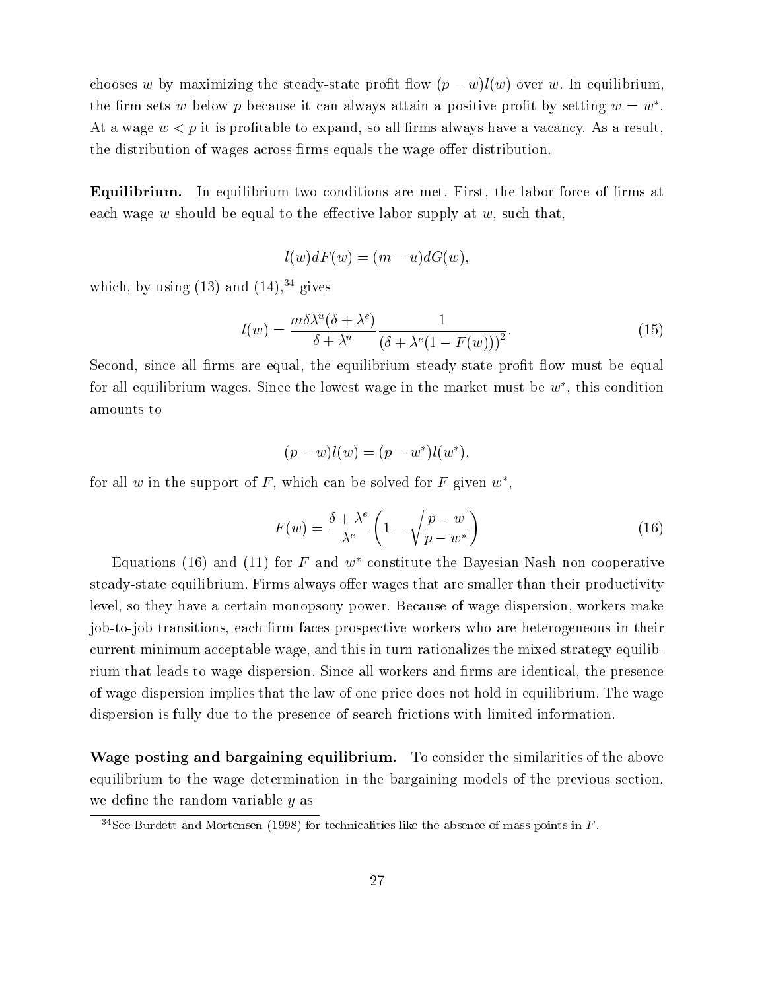chooses w by the state provided with provided process  $\mu$  , which is a contract of the state over  $\mu$ the firm sets w below p because it can always attain a positive profit by setting  $w = w^*$ . At a wage  $w < p$  it is profitable to expand, so all firms always have a vacancy. As a result, the distribution of wages across firms equals the wage offer distribution.

**Equilibrium.** In equilibrium two conditions are met. First, the labor force of firms at each wage w should be equal to the effective labor supply at w, such that,

$$
l(w)dF(w) = (m - u)dG(w),
$$

which, by using  $(13)$  and  $(14)$ , <sup>34</sup> gives

$$
l(w) = \frac{m\delta\lambda^u(\delta + \lambda^e)}{\delta + \lambda^u} \frac{1}{\left(\delta + \lambda^e(1 - F(w))\right)^2}.
$$
 (15)

Second, since all firms are equal, the equilibrium steady-state profit flow must be equal for all equilibrium wages. Since the lowest wage in the market must be  $w$  , this condition amounts to

$$
(p - w)l(w) = (p - w^*)l(w^*),
$$

for all w in the support of F, which can be solved for F given  $w^*$ ,

$$
F(w) = \frac{\delta + \lambda^e}{\lambda^e} \left( 1 - \sqrt{\frac{p - w}{p - w^*}} \right)
$$
 (16)

Equations (16) and (11) for F and  $w^*$  constitute the Bayesian-Nash non-cooperative steady-state equilibrium. Firms always offer wages that are smaller than their productivity level, so they have a certain monopsony power. Because of wage dispersion, workers make job-to-job transitions, each firm faces prospective workers who are heterogeneous in their current minimum acceptable wage, and this in turn rationalizes the mixed strategy equilibrium that leads to wage dispersion. Since all workers and firms are identical, the presence of wage dispersion implies that the law of one price does not hold in equilibrium. The wage dispersion is fully due to the presence of search frictions with limited information.

Wage posting and bargaining equilibrium. To consider the similarities of the above equilibrium to the wage determination in the bargaining models of the previous section, we define the random variable  $y$  as

<sup>&</sup>lt;sup>34</sup>See Burdett and Mortensen (1998) for technicalities like the absence of mass points in  $F$ .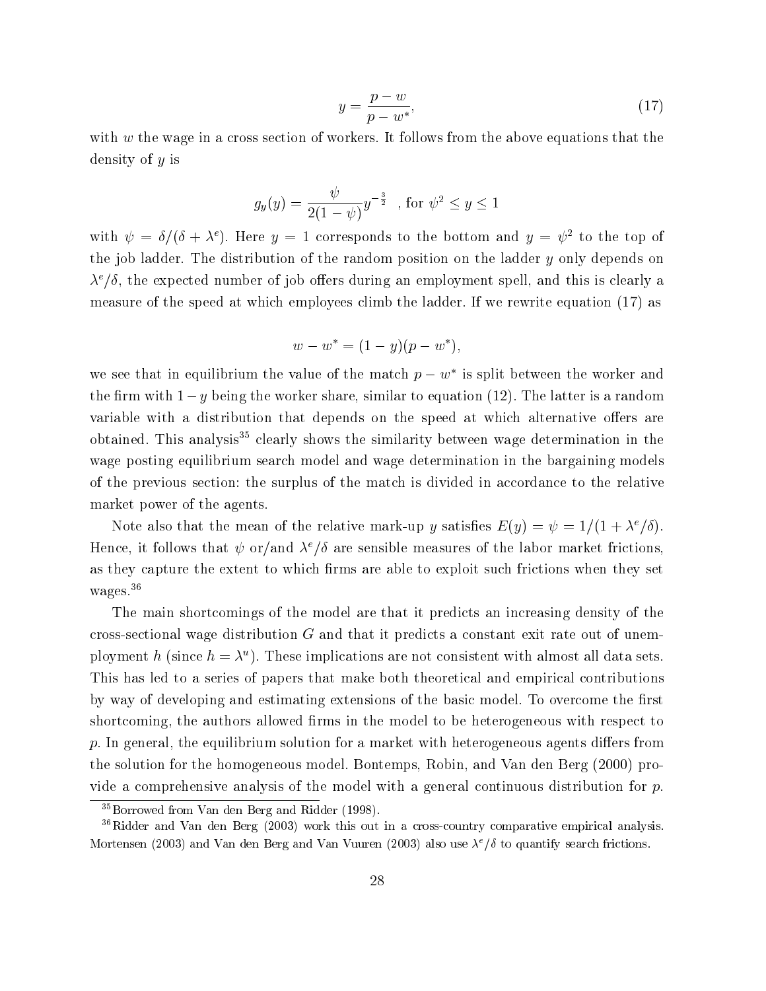$$
y = \frac{p - w}{p - w^*},\tag{17}
$$

with  $w$  the wage in a cross section of workers. It follows from the above equations that the density of y is

$$
g_y(y) = \frac{\psi}{2(1-\psi)} y^{-\frac{3}{2}} \quad \text{, for } \psi^2 \le y \le 1
$$

with  $\psi = \delta/(\delta + \lambda^e)$ . Here  $y = 1$  corresponds to the bottom and  $y = \psi^2$  to the top of the job ladder. The distribution of the random position on the ladder y only depends on  $\lambda^e/\delta$ , the expected number of job offers during an employment spell, and this is clearly a measure of the speed at which employees climb the ladder. If we rewrite equation (17) as

$$
w - w^* = (1 - y)(p - w^*),
$$

we see that in equilibrium the value of the match  $p-w$  is split between the worker and the firm with  $1-y$  being the worker share, similar to equation (12). The latter is a random variable with a distribution that depends on the speed at which alternative offers are obtained. This analysis<sup>35</sup> clearly shows the similarity between wage determination in the wage posting equilibrium search model and wage determination in the bargaining models of the previous section: the surplus of the match is divided in accordance to the relative market power of the agents.

Note also that the mean of the relative mark-up y satisfies  $E(y) = \psi = 1/(1 + \lambda^e/\delta).$ Hence, it follows that  $\psi$  or/and  $\lambda^e/\delta$  are sensible measures of the labor market frictions, as they capture the extent to which firms are able to exploit such frictions when they set wages.36

The main shortcomings of the model are that it predicts an increasing density of the cross-sectional wage distribution  $G$  and that it predicts a constant exit rate out of unemployment  $n$  (since  $n = \lambda^*$ ). These implications are not consistent with almost all data sets. This has led to a series of papers that make both theoretical and empirical contributions by way of developing and estimating extensions of the basic model. To overcome the first shortcoming, the authors allowed firms in the model to be heterogeneous with respect to  $p$ . In general, the equilibrium solution for a market with heterogeneous agents differs from the solution for the homogeneous model. Bontemps, Robin, and Van den Berg (2000) provide a comprehensive analysis of the model with a general continuous distribution for p.

<sup>35</sup>Borrowed from Van den Berg and Ridder (1998).

<sup>&</sup>lt;sup>36</sup>Ridder and Van den Berg (2003) work this out in a cross-country comparative empirical analysis. Mortensen (2003) and Van den Berg and Van Vuuren (2003) also use  $\lambda^e/\delta$  to quantify search frictions.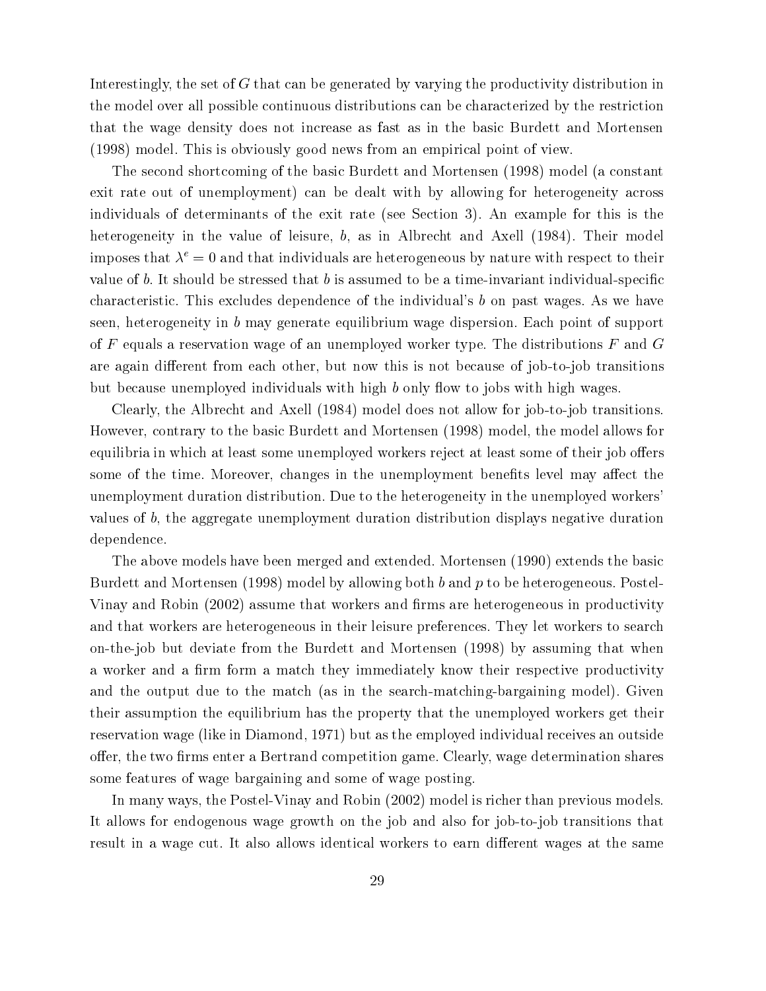Interestingly, the set of  $G$  that can be generated by varying the productivity distribution in the model over all possible continuous distributions can be characterized by the restriction that the wage density does not increase as fast as in the basic Burdett and Mortensen (1998) model. This is obviously good news from an empirical point of view.

The second shortcoming of the basic Burdett and Mortensen (1998) model (a constant exit rate out of unemployment) can be dealt with by allowing for heterogeneity across individuals of determinants of the exit rate (see Section 3). An example for this is the heterogeneity in the value of leisure, b, as in Albrecht and Axell (1984). Their model imposes that  $\lambda^e = 0$  and that individuals are heterogeneous by nature with respect to their value of b. It should be stressed that b is assumed to be a time-invariant individual-specific characteristic. This excludes dependence of the individual's  $b$  on past wages. As we have seen, heterogeneity in b may generate equilibrium wage dispersion. Each point of support of F equals a reservation wage of an unemployed worker type. The distributions  $F$  and  $G$ are again different from each other, but now this is not because of job-to-job transitions but because unemployed individuals with high  $b$  only flow to jobs with high wages.

Clearly, the Albrecht and Axell (1984) model does not allow for job-to-job transitions. However, contrary to the basic Burdett and Mortensen (1998) model, the model allows for equilibria in which at least some unemployed workers reject at least some of their job offers some of the time. Moreover, changes in the unemployment benefits level may affect the unemployment duration distribution. Due to the heterogeneity in the unemployed workers' values of b, the aggregate unemployment duration distribution displays negative duration dependence.

The above models have been merged and extended. Mortensen (1990) extends the basic Burdett and Mortensen (1998) model by allowing both b and p to be heterogeneous. Postel-Vinay and Robin (2002) assume that workers and firms are heterogeneous in productivity and that workers are heterogeneous in their leisure preferences. They let workers to search on-the-job but deviate from the Burdett and Mortensen (1998) by assuming that when a worker and a firm form a match they immediately know their respective productivity and the output due to the match (as in the search-matching-bargaining model). Given their assumption the equilibrium has the property that the unemployed workers get their reservation wage (like in Diamond, 1971) but as the employed individual receives an outside offer, the two firms enter a Bertrand competition game. Clearly, wage determination shares some features of wage bargaining and some of wage posting.

In many ways, the Postel-Vinay and Robin (2002) model is richer than previous models. It allows for endogenous wage growth on the job and also for job-to-job transitions that result in a wage cut. It also allows identical workers to earn different wages at the same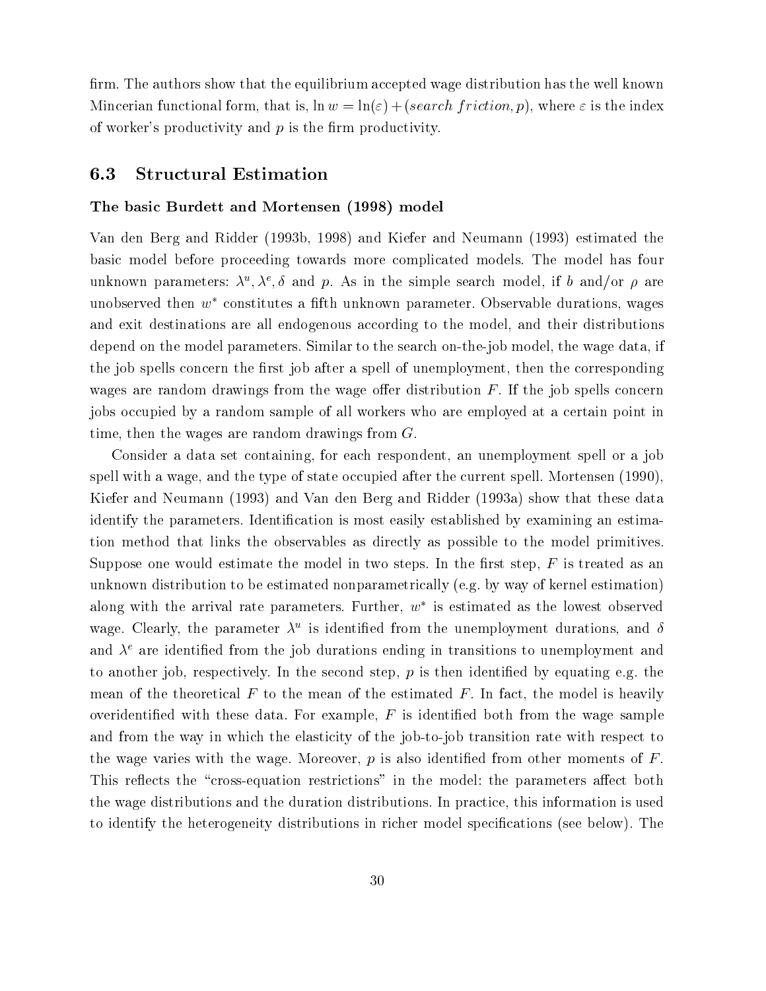firm. The authors show that the equilibrium accepted wage distribution has the well known Mincerian functional form, that is,  $\ln w = \ln(\varepsilon) + (search\ friction, p)$ , where  $\varepsilon$  is the index of worker's productivity and  $p$  is the firm productivity.

#### 6.3Structural Estimation

## The basic Burdett and Mortensen (1998) model

Van den Berg and Ridder (1993b, 1998) and Kiefer and Neumann (1993) estimated the basic model before proceeding towards more complicated models. The model has four unknown parameters:  $\lambda^*, \lambda^*, \theta$  and  $p.$  As in the simple search model, if  $\theta$  and/or  $p$  are unobserved then  $w^*$  constitutes a fifth unknown parameter. Observable durations, wages and exit destinations are all endogenous according to the model, and their distributions depend on the model parameters. Similar to the search on-the-job model, the wage data, if the job spells concern the first job after a spell of unemployment, then the corresponding wages are random drawings from the wage offer distribution  $F$ . If the job spells concern jobs occupied by a random sample of all workers who are employed at a certain point in time, then the wages are random drawings from G.

Consider a data set containing, for each respondent, an unemployment spell or a job spell with a wage, and the type of state occupied after the current spell. Mortensen (1990), Kiefer and Neumann (1993) and Van den Berg and Ridder (1993a) show that these data identify the parameters. Identification is most easily established by examining an estimation method that links the observables as directly as possible to the model primitives. Suppose one would estimate the model in two steps. In the first step,  $F$  is treated as an unknown distribution to be estimated nonparametrically (e.g. by way of kernel estimation) along with the arrival rate parameters. Further,  $w$  is estimated as the lowest observed wage. Clearly, the parameter  $\lambda$  is identified from the unemployment durations, and  $\theta$ and  $\lambda^e$  are identified from the job durations ending in transitions to unemployment and to another job, respectively. In the second step,  $p$  is then identified by equating e.g. the mean of the theoretical F to the mean of the estimated  $F$ . In fact, the model is heavily overidentified with these data. For example,  $F$  is identified both from the wage sample and from the way in which the elasticity of the job-to-job transition rate with respect to the wage varies with the wage. Moreover,  $p$  is also identified from other moments of  $F$ . This reflects the "cross-equation restrictions" in the model: the parameters affect both the wage distributions and the duration distributions. In practice, this information is used to identify the heterogeneity distributions in richer model specifications (see below). The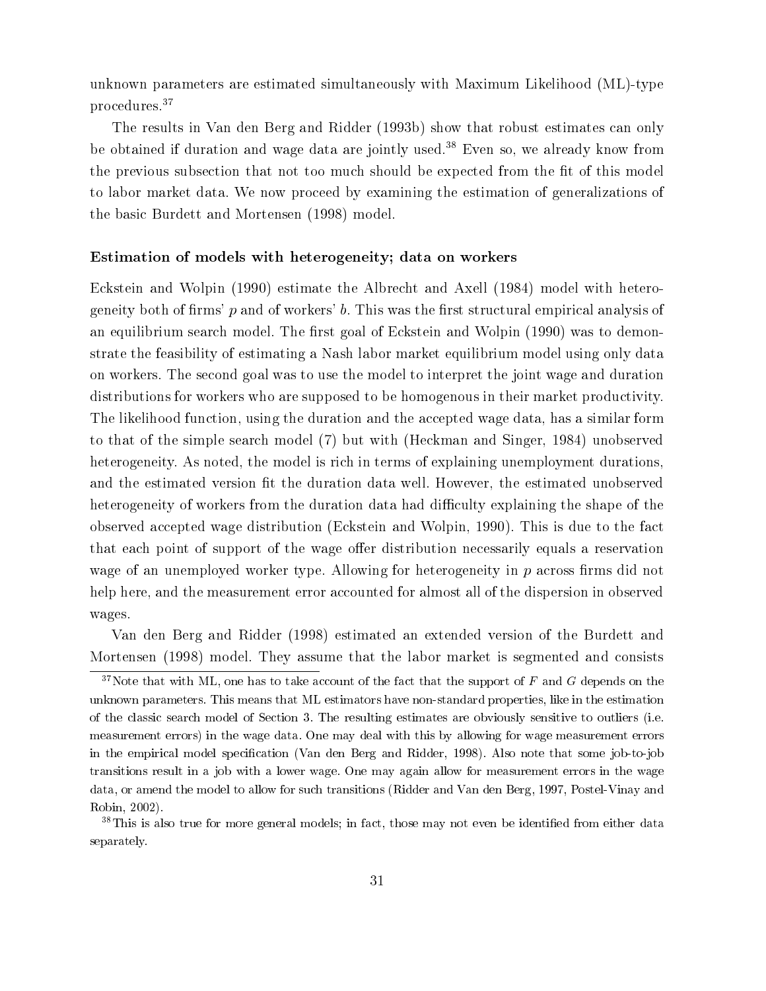unknown parameters are estimated simultaneously with Maximum Likelihood (ML)-type procedures.37

The results in Van den Berg and Ridder (1993b) show that robust estimates can only be obtained if duration and wage data are jointly used.<sup>38</sup> Even so, we already know from the previous subsection that not too much should be expected from the fit of this model to labor market data. We now proceed by examining the estimation of generalizations of the basic Burdett and Mortensen (1998) model.

#### Estimation of models with heterogeneity; data on workers

Eckstein and Wolpin (1990) estimate the Albrecht and Axell (1984) model with heterogeneity both of firms'  $p$  and of workers'  $b$ . This was the first structural empirical analysis of an equilibrium search model. The first goal of Eckstein and Wolpin (1990) was to demonstrate the feasibility of estimating a Nash labor market equilibrium model using only data on workers. The second goal was to use the model to interpret the joint wage and duration distributions for workers who are supposed to be homogenous in their market productivity. The likelihood function, using the duration and the accepted wage data, has a similar form to that of the simple search model (7) but with (Heckman and Singer, 1984) unobserved heterogeneity. As noted, the model is rich in terms of explaining unemployment durations, and the estimated version fit the duration data well. However, the estimated unobserved heterogeneity of workers from the duration data had difficulty explaining the shape of the observed accepted wage distribution (Eckstein and Wolpin, 1990). This is due to the fact that each point of support of the wage offer distribution necessarily equals a reservation wage of an unemployed worker type. Allowing for heterogeneity in  $p$  across firms did not help here, and the measurement error accounted for almost all of the dispersion in observed wages.

Van den Berg and Ridder (1998) estimated an extended version of the Burdett and Mortensen (1998) model. They assume that the labor market is segmented and consists

 $37$ Note that with ML, one has to take account of the fact that the support of F and G depends on the unknown parameters. This means that ML estimators have non-standard properties, like in the estimation of the classic search model of Section 3. The resulting estimates are obviously sensitive to outliers (i.e. measurement errors) in the wage data. One may deal with this by allowing for wage measurement errors in the empirical model specication (Van den Berg and Ridder, 1998). Also note that some job-to-job transitions result in a job with a lower wage. One may again allow for measurement errors in the wage data, or amend the model to allow for such transitions (Ridder and Van den Berg, 1997, Postel-Vinay and Robin, 2002).

<sup>&</sup>lt;sup>38</sup>This is also true for more general models; in fact, those may not even be identified from either data separately.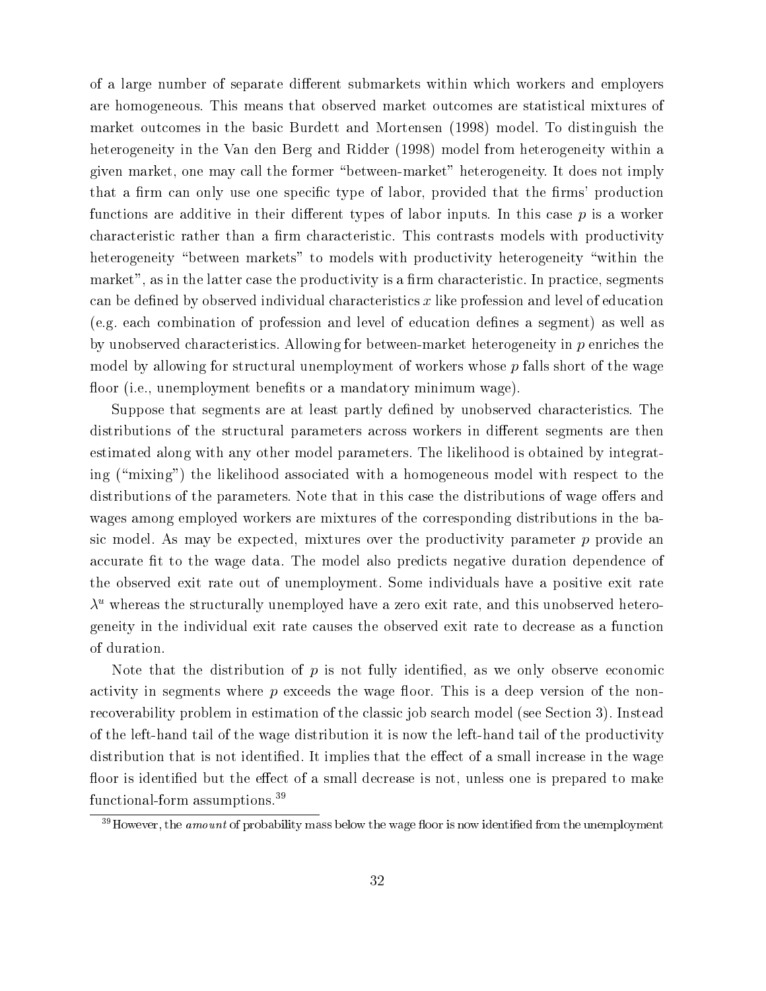of a large number of separate different submarkets within which workers and employers are homogeneous. This means that observed market outcomes are statistical mixtures of market outcomes in the basic Burdett and Mortensen (1998) model. To distinguish the heterogeneity in the Van den Berg and Ridder (1998) model from heterogeneity within a given market, one may call the former \between-market" heterogeneity. It does not imply that a firm can only use one specific type of labor, provided that the firms' production functions are additive in their different types of labor inputs. In this case  $p$  is a worker characteristic rather than a firm characteristic. This contrasts models with productivity heterogeneity "between markets" to models with productivity heterogeneity "within the market", as in the latter case the productivity is a firm characteristic. In practice, segments can be defined by observed individual characteristics x like profession and level of education (e.g. each combination of profession and level of education defines a segment) as well as by unobserved characteristics. Allowing for between-market heterogeneity in p enriches the model by allowing for structural unemployment of workers whose  $p$  falls short of the wage floor (i.e., unemployment benefits or a mandatory minimum wage).

Suppose that segments are at least partly defined by unobserved characteristics. The distributions of the structural parameters across workers in different segments are then estimated along with any other model parameters. The likelihood is obtained by integrating ("mixing") the likelihood associated with a homogeneous model with respect to the distributions of the parameters. Note that in this case the distributions of wage offers and wages among employed workers are mixtures of the corresponding distributions in the basic model. As may be expected, mixtures over the productivity parameter  $p$  provide an accurate fit to the wage data. The model also predicts negative duration dependence of the observed exit rate out of unemployment. Some individuals have a positive exit rate  $\lambda^u$  whereas the structurally unemployed have a zero exit rate, and this unobserved heterogeneity in the individual exit rate causes the observed exit rate to decrease as a function of duration.

Note that the distribution of  $p$  is not fully identified, as we only observe economic activity in segments where  $p$  exceeds the wage floor. This is a deep version of the nonrecoverability problem in estimation of the classic job search model (see Section 3). Instead of the left-hand tail of the wage distribution it is now the left-hand tail of the productivity distribution that is not identified. It implies that the effect of a small increase in the wage floor is identified but the effect of a small decrease is not, unless one is prepared to make functional-form assumptions.39

 $39$  However, the *amount* of probability mass below the wage floor is now identified from the unemployment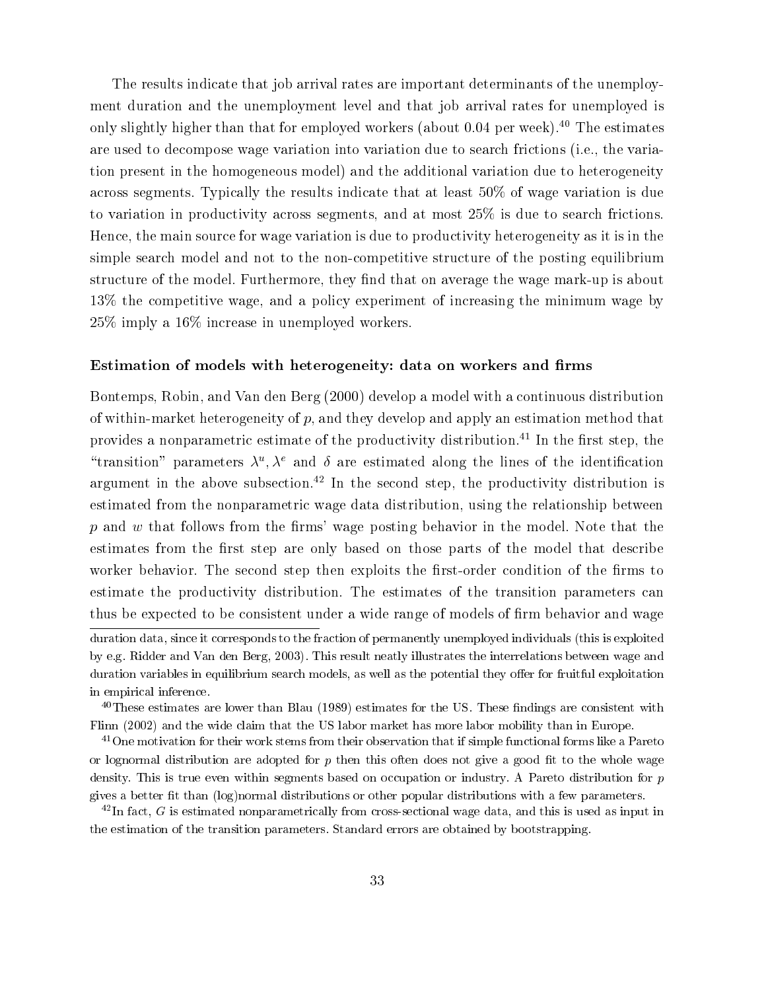The results indicate that job arrival rates are important determinants of the unemployment duration and the unemployment level and that job arrival rates for unemployed is only slightly higher than that for employed workers (about 0.04 per week).<sup>40</sup> The estimates are used to decompose wage variation into variation due to search frictions (i.e., the variation present in the homogeneous model) and the additional variation due to heterogeneity across segments. Typically the results indicate that at least 50% of wage variation is due to variation in productivity across segments, and at most 25% is due to search frictions. Hence, the main source for wage variation is due to productivity heterogeneity as it is in the simple search model and not to the non-competitive structure of the posting equilibrium structure of the model. Furthermore, they find that on average the wage mark-up is about 13% the competitive wage, and a policy experiment of increasing the minimum wage by 25% imply a 16% increase in unemployed workers.

## Estimation of models with heterogeneity: data on workers and firms

Bontemps, Robin, and Van den Berg (2000) develop a model with a continuous distribution of within-market heterogeneity of  $p$ , and they develop and apply an estimation method that provides a nonparametric estimate of the productivity distribution.<sup>41</sup> In the first step, the  $\tau$  transition – parameters  $\lambda^+, \lambda^-$  and  $\sigma$  are estimated along the lines of the identification argument in the above subsection.<sup>42</sup> In the second step, the productivity distribution is estimated from the nonparametric wage data distribution, using the relationship between  $p$  and  $w$  that follows from the firms' wage posting behavior in the model. Note that the estimates from the first step are only based on those parts of the model that describe worker behavior. The second step then exploits the first-order condition of the firms to estimate the productivity distribution. The estimates of the transition parameters can thus be expected to be consistent under a wide range of models of firm behavior and wage

duration data, since it corresponds to the fraction of permanently unemployed individuals (this is exploited by e.g. Ridder and Van den Berg, 2003). This result neatly illustrates the interrelations between wage and duration variables in equilibrium search models, as well as the potential they offer for fruitful exploitation in empirical inference.

 $^{40}$ These estimates are lower than Blau (1989) estimates for the US. These findings are consistent with Flinn (2002) and the wide claim that the US labor market has more labor mobility than in Europe.

<sup>&</sup>lt;sup>41</sup> One motivation for their work stems from their observation that if simple functional forms like a Pareto or lognormal distribution are adopted for  $p$  then this often does not give a good fit to the whole wage density. This is true even within segments based on occupation or industry. A Pareto distribution for <sup>p</sup> gives a better t than (log)normal distributions or other popular distributions with a few parameters.

 $^{42}$ In fact, G is estimated nonparametrically from cross-sectional wage data, and this is used as input in the estimation of the transition parameters. Standard errors are obtained by bootstrapping.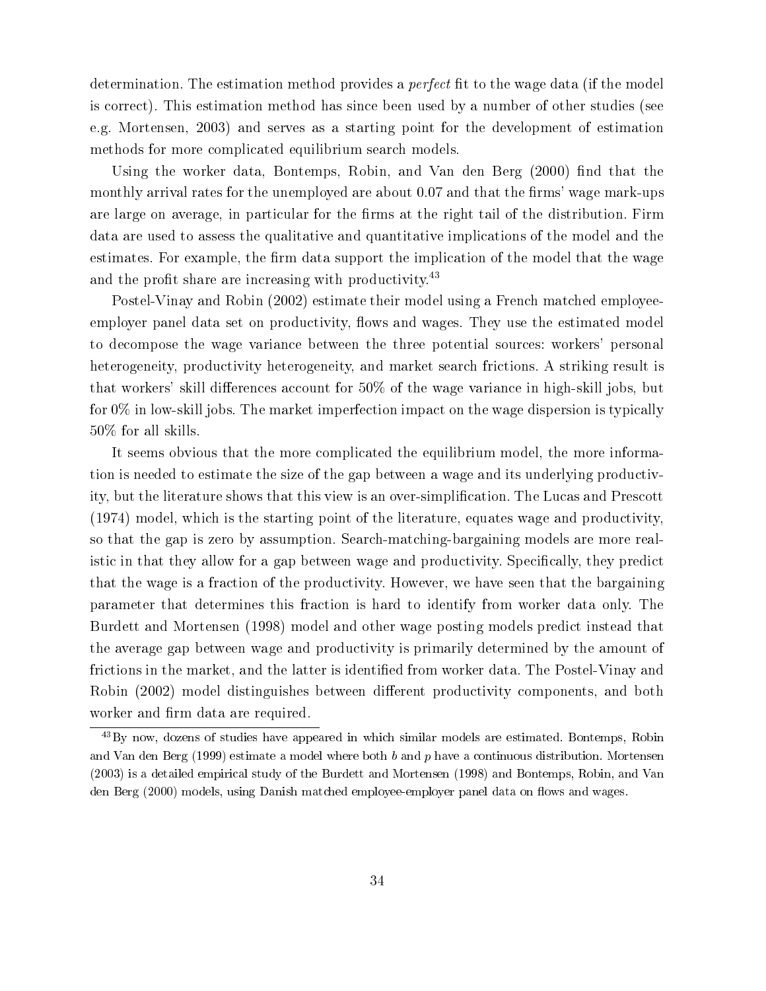determination. The estimation method provides a *perfect* fit to the wage data (if the model is correct). This estimation method has since been used byanumber of other studies (see e.g. Mortensen, 2003) and serves as a starting point for the development of estimation methods for more complicated equilibrium search models.

Using the worker data, Bontemps, Robin, and Van den Berg  $(2000)$  find that the monthly arrival rates for the unemployed are about  $0.07$  and that the firms' wage mark-ups are large on average, in particular for the firms at the right tail of the distribution. Firm data are used to assess the qualitative and quantitative implications of the model and the estimates. For example, the firm data support the implication of the model that the wage and the profit share are increasing with productivity.<sup>43</sup>

Postel-Vinay and Robin (2002) estimate their model using a French matched employeeemployer panel data set on productivity, flows and wages. They use the estimated model to decompose the wage variance between the three potential sources: workers' personal heterogeneity, productivity heterogeneity, and market search frictions. A striking result is that workers' skill differences account for  $50\%$  of the wage variance in high-skill jobs, but for 0% in low-skill jobs. The market imperfection impact on the wage dispersion is typically 50% for all skills.

It seems obvious that the more complicated the equilibrium model, the more information is needed to estimate the size of the gap between a wage and its underlying productivity, but the literature shows that this view is an over-simplication. The Lucas and Prescott (1974) model, which is the starting point of the literature, equates wage and productivity, so that the gap is zero by assumption. Search-matching-bargaining models are more realistic in that they allow for a gap between wage and productivity. Specifically, they predict that the wage is a fraction of the productivity. However, we have seen that the bargaining parameter that determines this fraction is hard to identify from worker data only. The Burdett and Mortensen (1998) model and other wage posting models predict instead that the average gap between wage and productivity is primarily determined by the amount of frictions in the market, and the latter is identified from worker data. The Postel-Vinay and Robin (2002) model distinguishes between different productivity components, and both worker and firm data are required.

<sup>43</sup>By now, dozens of studies have appeared in which similar models are estimated. Bontemps, Robin and Van den Berg (1999) estimate a model where both  $b$  and  $p$  have a continuous distribution. Mortensen (2003) is a detailed empirical study of the Burdett and Mortensen (1998) and Bontemps, Robin, and Van den Berg (2000) models, using Danish matched employee-employer panel data on flows and wages.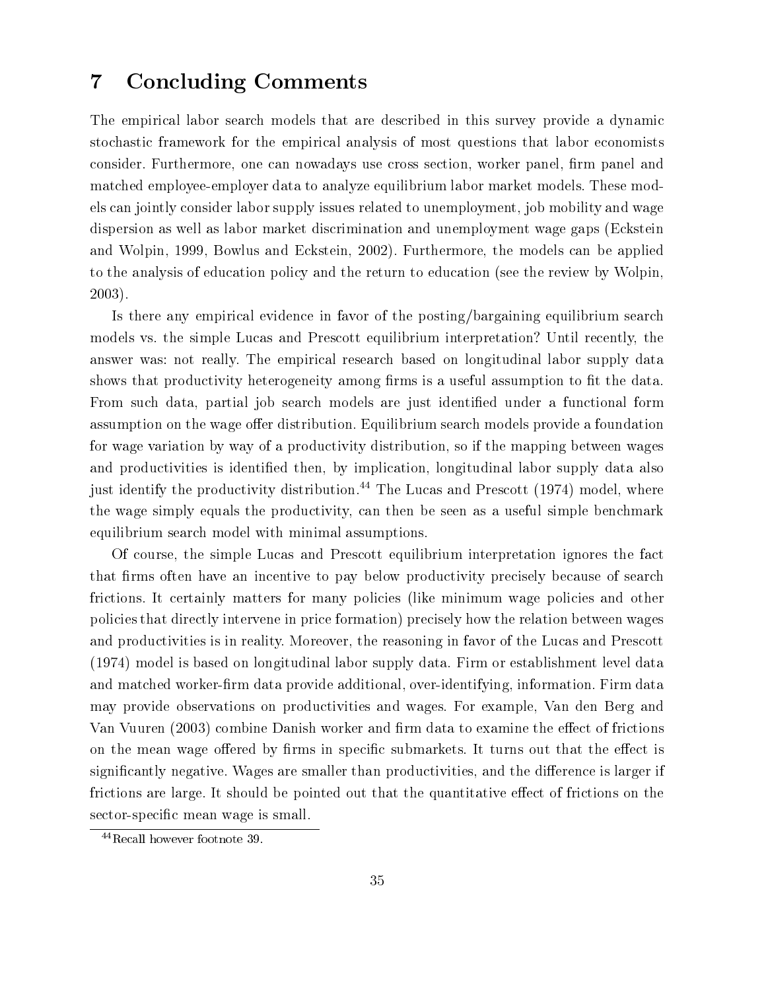# 7 Concluding Comments

The empirical labor search models that are described in this survey provide a dynamic stochastic framework for the empirical analysis of most questions that labor economists consider. Furthermore, one can nowadays use cross section, worker panel, firm panel and matched employee-employer data to analyze equilibrium labor market models. These models can jointly consider labor supply issues related to unemployment, job mobility and wage dispersion as well as labor market discrimination and unemployment wage gaps (Eckstein and Wolpin, 1999, Bowlus and Eckstein, 2002). Furthermore, the models can be applied to the analysis of education policy and the return to education (see the review by Wolpin, 2003).

Is there any empirical evidence in favor of the posting/bargaining equilibrium search models vs. the simple Lucas and Prescott equilibrium interpretation? Until recently, the answer was: not really. The empirical research based on longitudinal labor supply data shows that productivity heterogeneity among firms is a useful assumption to fit the data. From such data, partial job search models are just identified under a functional form assumption on the wage offer distribution. Equilibrium search models provide a foundation for wage variation by way of a productivity distribution, so if the mapping between wages and productivities is identified then, by implication, longitudinal labor supply data also just identify the productivity distribution.<sup>44</sup> The Lucas and Prescott (1974) model, where the wage simply equals the productivity, can then be seen as a useful simple benchmark equilibrium search model with minimal assumptions.

Of course, the simple Lucas and Prescott equilibrium interpretation ignores the fact that firms often have an incentive to pay below productivity precisely because of search frictions. It certainly matters for many policies (like minimum wage policies and other policies that directly intervene in price formation) precisely how the relation between wages and productivities is in reality. Moreover, the reasoning in favor of the Lucas and Prescott (1974) model is based on longitudinal labor supply data. Firm or establishment level data and matched worker-firm data provide additional, over-identifying, information. Firm data may provide observations on productivities and wages. For example, Van den Berg and Van Vuuren (2003) combine Danish worker and firm data to examine the effect of frictions on the mean wage offered by firms in specific submarkets. It turns out that the effect is significantly negative. Wages are smaller than productivities, and the difference is larger if frictions are large. It should be pointed out that the quantitative effect of frictions on the sector-specic mean wage is small.

<sup>44</sup>Recall however footnote 39.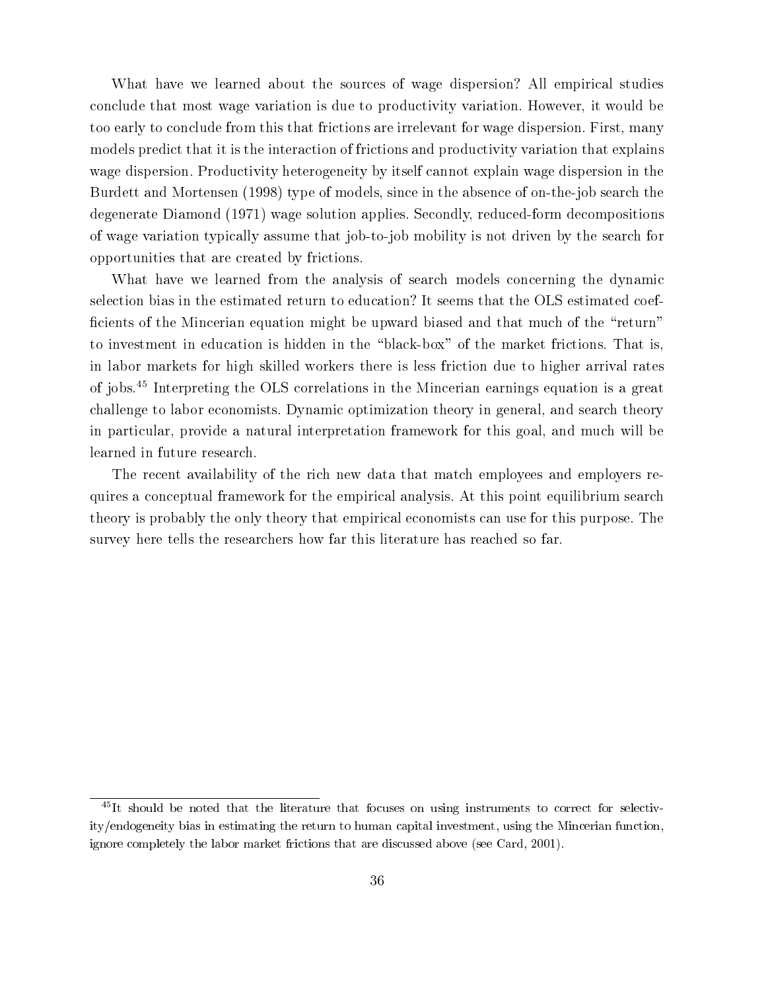What have we learned about the sources of wage dispersion? All empirical studies conclude that most wage variation is due to productivity variation. However, it would be too early to conclude from this that frictions are irrelevant for wage dispersion. First, many models predict that it is the interaction of frictions and productivity variation that explains wage dispersion. Productivity heterogeneity by itself cannot explain wage dispersion in the Burdett and Mortensen (1998) type of models, since in the absence of on-the-job search the degenerate Diamond (1971) wage solution applies. Secondly, reduced-form decompositions of wage variation typically assume that job-to-job mobility is not driven by the search for opportunities that are created by frictions.

What have we learned from the analysis of search models concerning the dynamic selection bias in the estimated return to education? It seems that the OLS estimated coef ficients of the Mincerian equation might be upward biased and that much of the "return" to investment in education is hidden in the "black-box" of the market frictions. That is, in labor markets for high skilled workers there is less friction due to higher arrival rates of jobs.45 Interpreting the OLS correlations in the Mincerian earnings equation is a great challenge to labor economists. Dynamic optimization theory in general, and search theory in particular, provide a natural interpretation framework for this goal, and much will be learned in future research.

The recent availability of the rich new data that match employees and employers requires a conceptual framework for the empirical analysis. At this point equilibrium search theory is probably the only theory that empirical economists can use for this purpose. The survey here tells the researchers how far this literature has reached so far.

<sup>&</sup>lt;sup>45</sup>It should be noted that the literature that focuses on using instruments to correct for selectivity/endogeneity bias in estimating the return to human capital investment, using the Mincerian function, ignore completely the labor market frictions that are discussed above (see Card, 2001).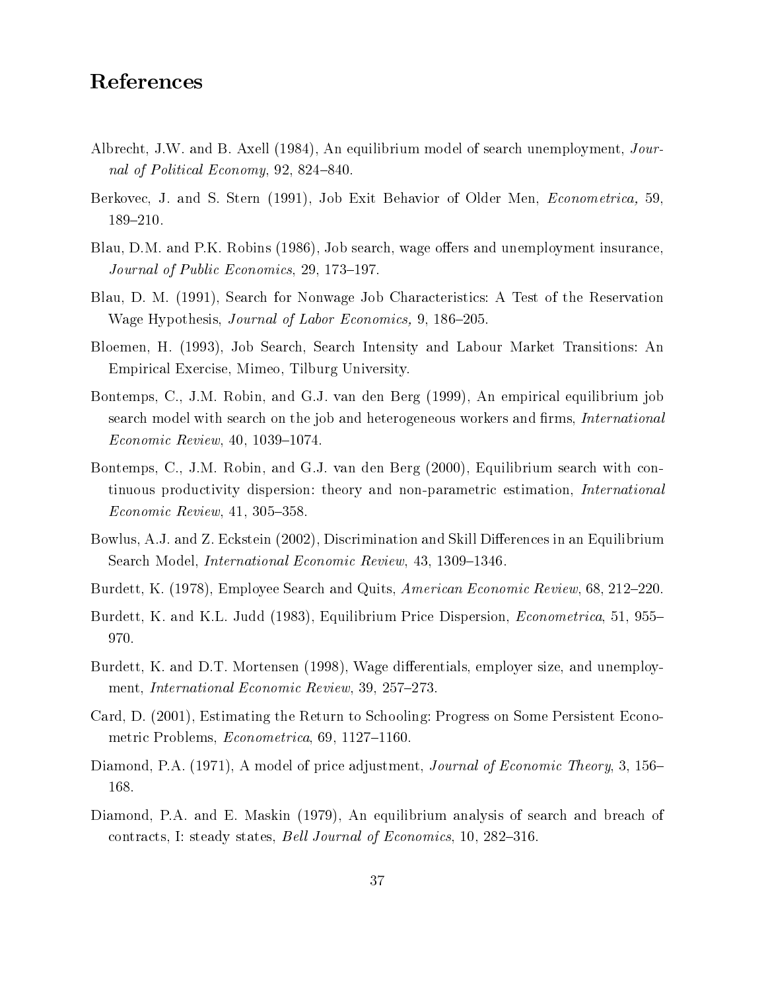# References

- Albrecht, J.W. and B. Axell (1984), An equilibrium model of search unemployment, Journal of Political Economy, 92, 824-840.
- Berkovec, J. and S. Stern (1991), Job Exit Behavior of Older Men, *Econometrica*, 59, 189-210.
- Blau, D.M. and P.K. Robins (1986), Job search, wage offers and unemployment insurance, Journal of Public Economics,  $29, 173-197.$
- Blau, D. M. (1991), Search for Nonwage Job Characteristics: A Test of the Reservation Wage Hypothesis, *Journal of Labor Economics*, 9, 186–205.
- Bloemen, H. (1993), Job Search, Search Intensity and Labour Market Transitions: An Empirical Exercise, Mimeo, Tilburg University.
- Bontemps, C., J.M. Robin, and G.J. van den Berg (1999), An empirical equilibrium job search model with search on the job and heterogeneous workers and firms, *International*  $Economic$   $Review, 40, 1039-1074.$
- Bontemps, C., J.M. Robin, and G.J. van den Berg (2000), Equilibrium search with continuous productivity dispersion: theory and non-parametric estimation, International  $Economic$   $Review, 41, 305-358.$
- Bowlus, A.J. and Z. Eckstein (2002), Discrimination and Skill Differences in an Equilibrium Search Model, *International Economic Review*, 43, 1309–1346.
- Burdett, K. (1978), Employee Search and Quits, American Economic Review, 68, 212–220.
- Burdett, K. and K.L. Judd (1983), Equilibrium Price Dispersion, *Econometrica*, 51, 955– 970.
- Burdett, K. and D.T. Mortensen (1998), Wage differentials, employer size, and unemployment, International Economic Review, 39, 257-273.
- Card, D. (2001), Estimating the Return to Schooling: Progress on Some Persistent Econometric Problems,  $Econometrica$ , 69, 1127-1160.
- Diamond, P.A. (1971), A model of price adjustment, *Journal of Economic Theory*, 3, 156 168.
- Diamond, P.A. and E. Maskin (1979), An equilibrium analysis of search and breach of contracts, I: steady states, *Bell Journal of Economics*, 10, 282–316.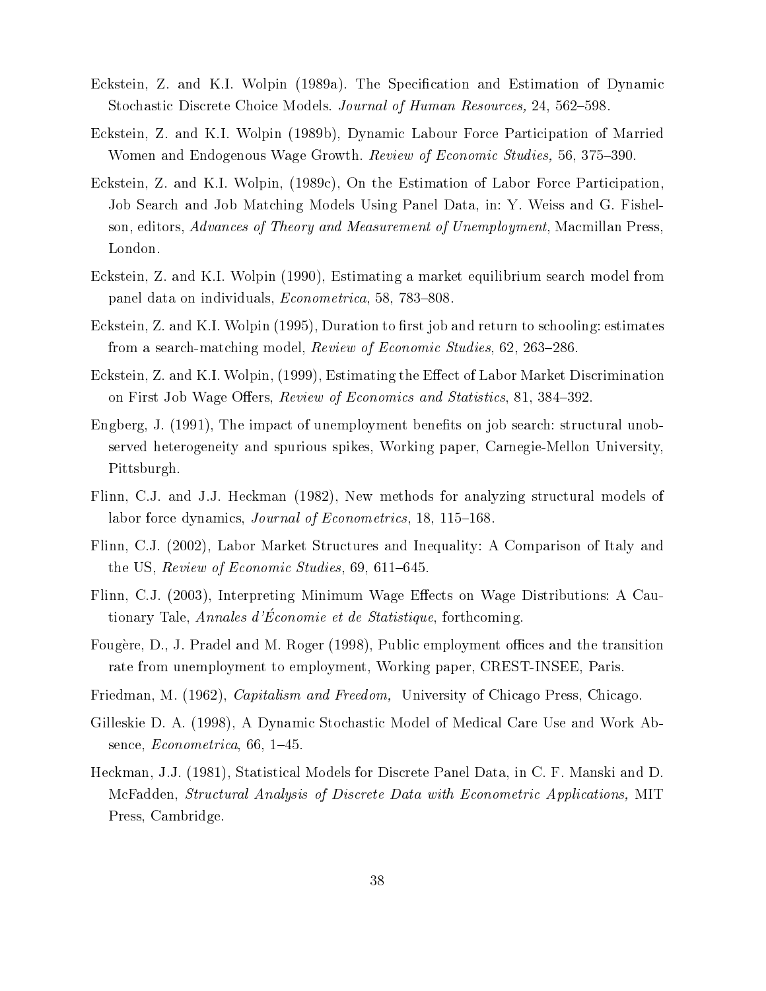- Eckstein, Z. and K.I. Wolpin (1989a). The Specication and Estimation of Dynamic Stochastic Discrete Choice Models. Journal of Human Resources, 24, 562–598.
- Eckstein, Z. and K.I. Wolpin (1989b), Dynamic Labour Force Participation of Married Women and Endogenous Wage Growth. Review of Economic Studies, 56, 375–390.
- Eckstein, Z. and K.I. Wolpin, (1989c), On the Estimation of Labor Force Participation, Job Search and Job Matching Models Using Panel Data, in: Y. Weiss and G. Fishelson, editors, Advances of Theory and Measurement of Unemployment, Macmillan Press, London.
- Eckstein, Z. and K.I.Wolpin (1990), Estimating a market equilibrium search model from panel data on individuals, *Econometrica*, 58, 783-808.
- Eckstein, Z. and K.I. Wolpin  $(1995)$ . Duration to first job and return to schooling: estimates from a search-matching model, *Review of Economic Studies*, 62, 263–286.
- Eckstein, Z. and K.I. Wolpin, (1999), Estimating the Effect of Labor Market Discrimination on First Job Wage Offers, Review of Economics and Statistics, 81, 384–392.
- Engberg, J. (1991), The impact of unemployment benefits on job search: structural unobserved heterogeneity and spurious spikes, Working paper, Carnegie-Mellon University, Pittsburgh.
- Flinn, C.J. and J.J. Heckman (1982), New methods for analyzing structural models of labor force dynamics, *Journal of Econometrics*, 18, 115–168.
- Flinn, C.J. (2002), Labor Market Structures and Inequality: A Comparison of Italy and the US, Review of Economic Studies,  $69, 611-645$ .
- Flinn, C.J. (2003), Interpreting Minimum Wage Effects on Wage Distributions: A Cautionary Tale, Annales d'Économie et de Statistique, forthcoming.
- Fougère, D., J. Pradel and M. Roger (1998), Public employment offices and the transition rate from unemployment to employment, Working paper, CREST-INSEE, Paris.
- Friedman, M. (1962), *Capitalism and Freedom*, University of Chicago Press, Chicago.
- Gilleskie D. A. (1998), A Dynamic Stochastic Model of Medical Care Use and Work Absence,  $Econometrica$ , 66, 1-45.
- Heckman, J.J. (1981), Statistical Models for Discrete Panel Data, in C. F. Manski and D. McFadden, Structural Analysis of Discrete Data with Econometric Applications, MIT Press, Cambridge.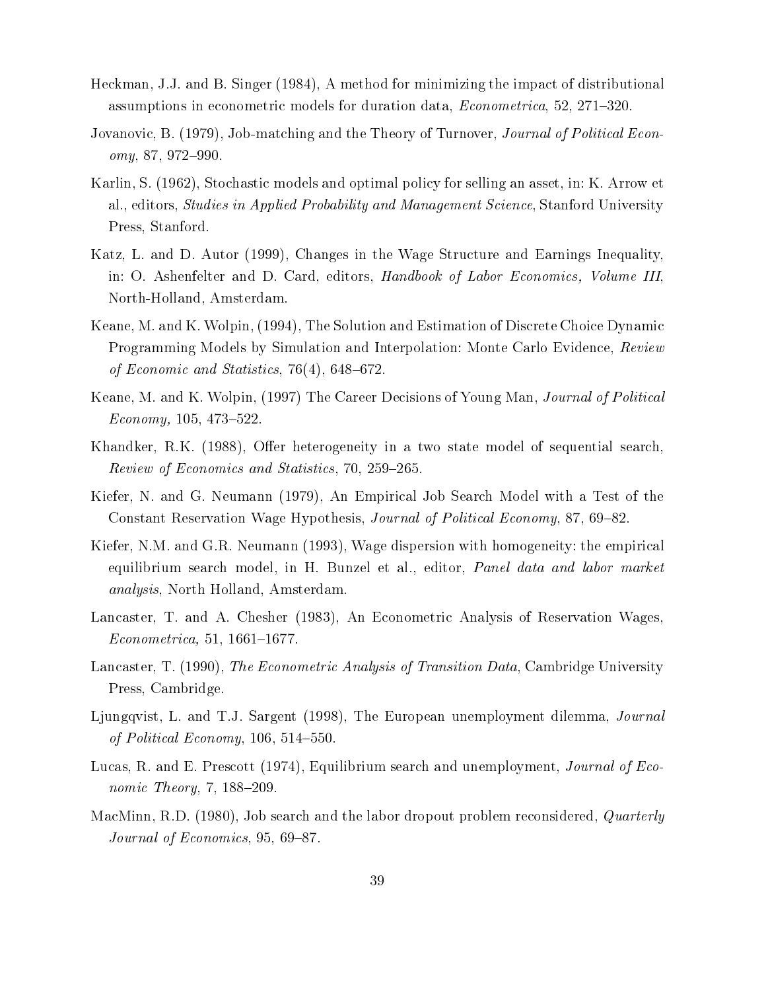- Heckman, J.J. and B. Singer (1984), A method for minimizing the impact of distributional assumptions in econometric models for duration data, *Econometrica*, 52, 271–320.
- Jovanovic, B. (1979), Job-matching and the Theory of Turnover, *Journal of Political Econ* $omy$ , 87, 972–990.
- Karlin, S. (1962), Stochastic models and optimal policy for selling an asset, in: K. Arrow et al., editors, *Studies in Applied Probability and Management Science*, Stanford University Press, Stanford.
- Katz, L. and D. Autor (1999), Changes in the Wage Structure and Earnings Inequality, in: O. Ashenfelter and D. Card, editors, Handbook of Labor Economics, Volume III, North-Holland, Amsterdam.
- Keane, M. and K. Wolpin, (1994), The Solution and Estimation of Discrete Choice Dynamic Programming Models by Simulation and Interpolation: Monte Carlo Evidence, Review of Economic and Statistics,  $76(4)$ ,  $648-672$ .
- Keane, M. and K. Wolpin, (1997) The Career Decisions of Young Man, *Journal of Political*  $Economy, 105, 473{-}522.$
- Khandker, R.K. (1988), Offer heterogeneity in a two state model of sequential search,  $Review of Economics and Statistics, 70, 259–265.$
- Kiefer, N. and G. Neumann (1979), An Empirical Job Search Model with a Test of the Constant Reservation Wage Hypothesis, *Journal of Political Economy*, 87, 69–82.
- Kiefer, N.M. and G.R. Neumann (1993), Wage dispersion with homogeneity: the empirical equilibrium search model, in H. Bunzel et al., editor, *Panel data and labor market* analysis, North Holland, Amsterdam.
- Lancaster, T. and A. Chesher (1983), An Econometric Analysis of Reservation Wages,  $Econometrica, 51, 1661–1677.$
- Lancaster, T. (1990), The Econometric Analysis of Transition Data, Cambridge University Press, Cambridge.
- Ljungqvist, L. and T.J. Sargent (1998), The European unemployment dilemma, Journal of Political Economy,  $106, 514-550$ .
- Lucas, R. and E. Prescott (1974), Equilibrium search and unemployment, Journal of Economic Theory,  $7, 188-209$ .
- MacMinn, R.D. (1980), Job search and the labor dropout problem reconsidered, *Quarterly* Journal of Economics, 95, 69-87.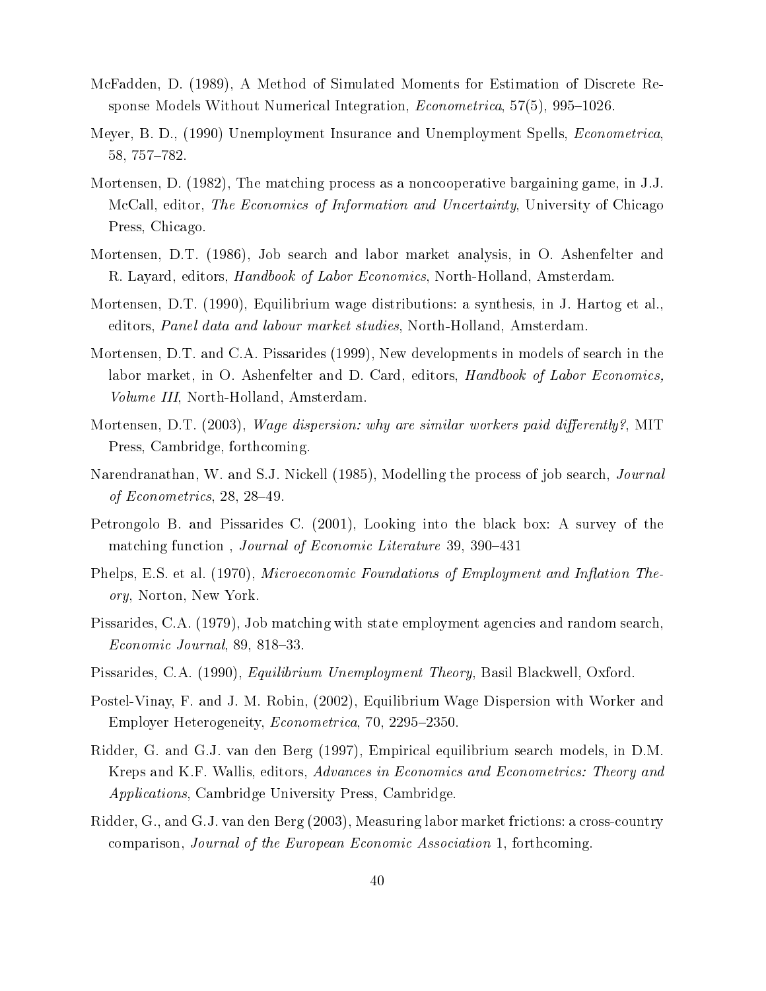- McFadden, D. (1989), A Method of Simulated Moments for Estimation of Discrete Response Models Without Numerical Integration,  $Econometrica$ , 57(5), 995-1026.
- Meyer, B. D., (1990) Unemployment Insurance and Unemployment Spells, *Econometrica*, 58, 757-782.
- Mortensen, D. (1982), The matching process as a noncooperative bargaining game, in J.J. McCall, editor, The Economics of Information and Uncertainty, University of Chicago Press, Chicago.
- Mortensen, D.T. (1986), Job search and labor market analysis, in O. Ashenfelter and R. Layard, editors, *Handbook of Labor Economics*, North-Holland, Amsterdam.
- Mortensen, D.T. (1990), Equilibrium wage distributions: a synthesis, in J. Hartog et al., editors, Panel data and labour market studies, North-Holland, Amsterdam.
- Mortensen, D.T. and C.A. Pissarides (1999), New developments in models of search in the labor market, in O. Ashenfelter and D. Card, editors, *Handbook of Labor Economics*, Volume III, North-Holland, Amsterdam.
- Mortensen, D.T. (2003), Wage dispersion: why are similar workers paid differently?, MIT Press, Cambridge, forthcoming.
- Narendranathan, W. and S.J. Nickell (1985), Modelling the process of job search, *Journal* of Econometrics,  $28, 28-49$ .
- Petrongolo B. and Pissarides C. (2001), Looking into the black box: A survey of the matching function, *Journal of Economic Literature* 39, 390-431
- Phelps, E.S. et al. (1970), *Microeconomic Foundations of Employment and Inflation The*ory, Norton, New York.
- Pissarides, C.A. (1979), Job matching with state employment agencies and random search,  $Economic\ Journal$ , 89, 818-33.
- Pissarides, C.A. (1990), Equilibrium Unemployment Theory, Basil Blackwell, Oxford.
- Postel-Vinay, F. and J. M. Robin, (2002), Equilibrium Wage Dispersion with Worker and Employer Heterogeneity, *Econometrica*, 70, 2295–2350.
- Ridder, G. and G.J. van den Berg (1997), Empirical equilibrium search models, in D.M. Kreps and K.F. Wallis, editors, Advances in Economics and Econometrics: Theory and Applications, Cambridge University Press, Cambridge.
- Ridder, G., and G.J. van den Berg (2003), Measuring labor market frictions: a cross-country comparison, Journal of the European Economic Association 1, forthcoming.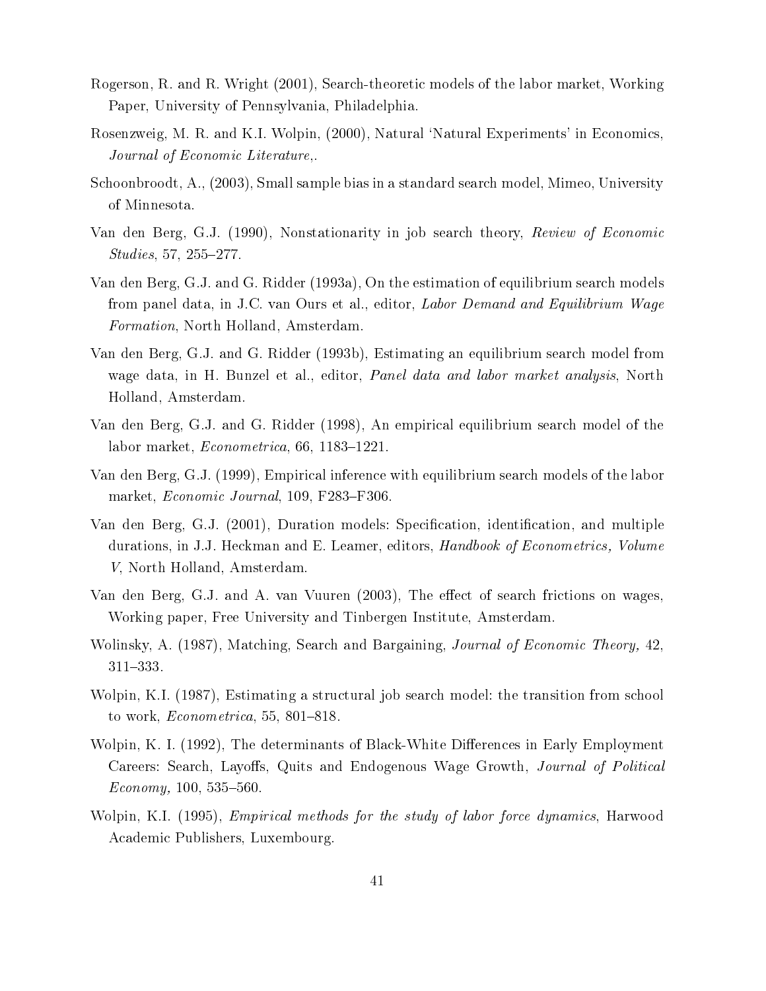- Rogerson, R. and R. Wright (2001), Search-theoretic models of the labor market, Working Paper, University of Pennsylvania, Philadelphia.
- Rosenzweig, M. R. and K.I. Wolpin, (2000), Natural 'Natural Experiments' in Economics, Journal of Economic Literature,.
- Schoonbroodt, A., (2003), Small sample bias in a standard search model, Mimeo, University of Minnesota.
- Van den Berg, G.J. (1990), Nonstationarity in job search theory, Review of Economic  $Studies, 57, 255-277.$
- Van den Berg, G.J. and G. Ridder (1993a), On the estimation of equilibrium search models from panel data, in J.C. van Ours et al., editor, Labor Demand and Equilibrium Wage Formation, North Holland, Amsterdam.
- Van den Berg, G.J. and G. Ridder (1993b), Estimating an equilibrium search model from wage data, in H. Bunzel et al., editor, Panel data and labor market analysis, North Holland, Amsterdam.
- Van den Berg, G.J. and G. Ridder (1998), An empirical equilibrium search model of the labor market,  $Econometrica$ , 66, 1183-1221.
- Van den Berg, G.J. (1999), Empirical inference with equilibrium search models of the labor market, Economic Journal, 109, F283-F306.
- Van den Berg, G.J. (2001), Duration models: Specification, identification, and multiple durations, in J.J. Heckman and E. Leamer, editors, Handbook of Econometrics, Volume V, North Holland, Amsterdam.
- Van den Berg, G.J. and A. van Vuuren (2003), The effect of search frictions on wages, Working paper, Free University and Tinbergen Institute, Amsterdam.
- Wolinsky, A. (1987), Matching, Search and Bargaining, *Journal of Economic Theory*, 42, 311-333.
- Wolpin, K.I. (1987), Estimating a structural job search model: the transition from school to work,  $Econometrica$ , 55, 801–818.
- Wolpin, K. I. (1992), The determinants of Black-White Differences in Early Employment Careers: Search, Layoffs, Quits and Endogenous Wage Growth, *Journal of Political*  $Economy, 100, 535–560.$
- Wolpin, K.I. (1995), *Empirical methods for the study of labor force dynamics*, Harwood Academic Publishers, Luxembourg.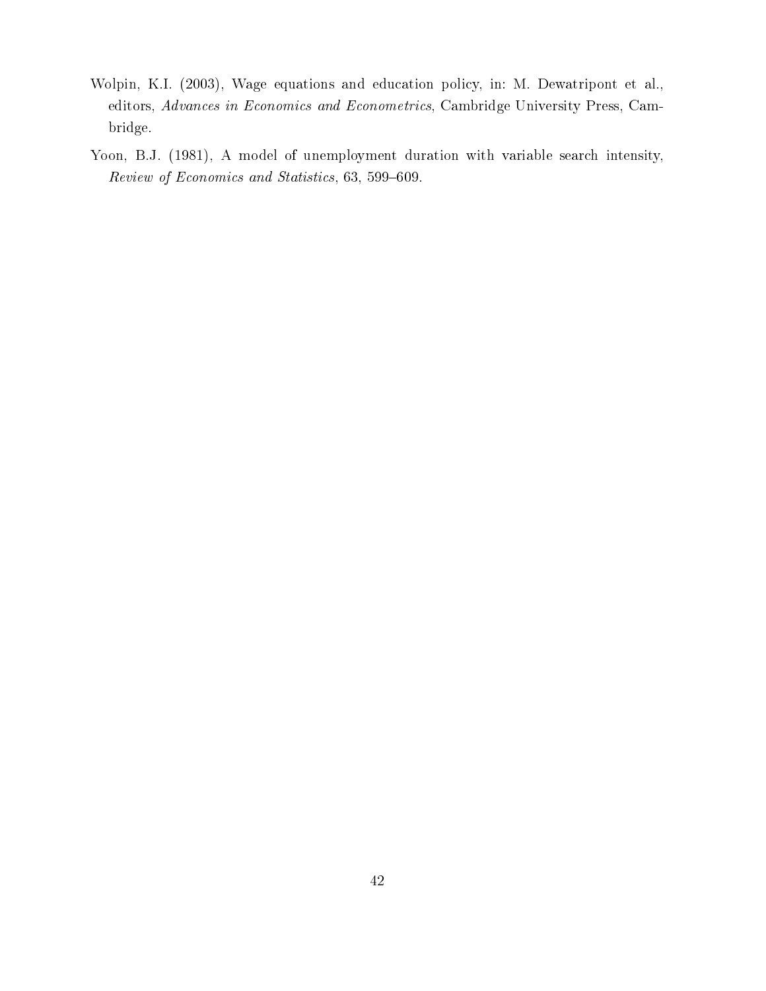- Wolpin, K.I. (2003), Wage equations and education policy, in: M. Dewatripont et al., editors, Advances in Economics and Econometrics, Cambridge University Press, Cambridge.
- Yoon, B.J. (1981), A model of unemployment duration with variable search intensity,  $Review\ of\ Economics\ and\ Statistics, 63, 599-609.$